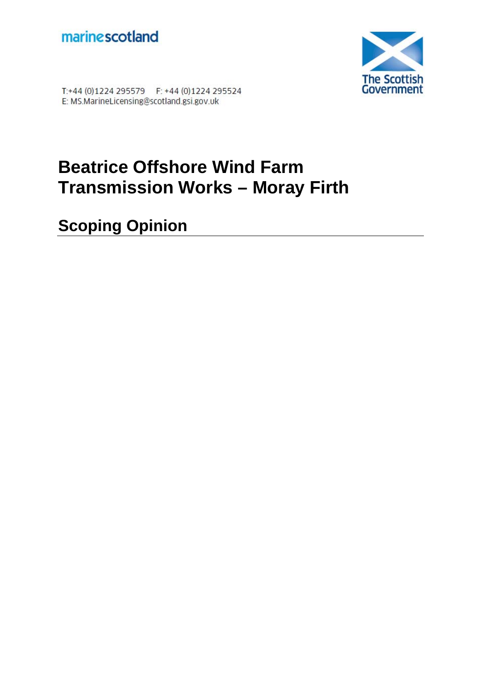



T:+44 (0)1224 295579 F: +44 (0)1224 295524 E: MS.MarineLicensing@scotland.gsi.gov.uk

# **Beatrice Offshore Wind Farm Transmission Works – Moray Firth**

**Scoping Opinion**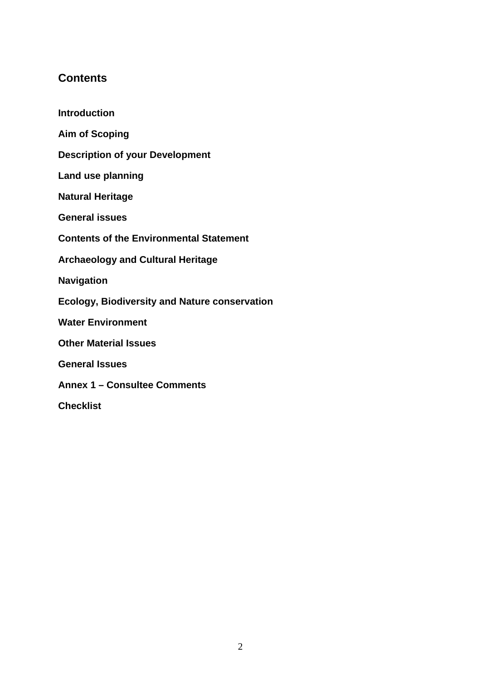# **Contents**

**Introduction** 

**Aim of Scoping Description of your Development Land use planning Natural Heritage General issues Contents of the Environmental Statement Archaeology and Cultural Heritage Navigation Ecology, Biodiversity and Nature conservation Water Environment Other Material Issues General Issues Annex 1 – Consultee Comments** 

**Checklist**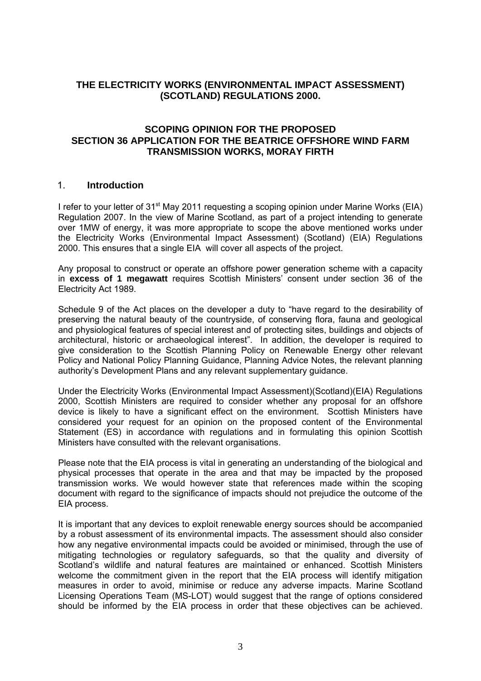# **THE ELECTRICITY WORKS (ENVIRONMENTAL IMPACT ASSESSMENT) (SCOTLAND) REGULATIONS 2000.**

# **SCOPING OPINION FOR THE PROPOSED SECTION 36 APPLICATION FOR THE BEATRICE OFFSHORE WIND FARM TRANSMISSION WORKS, MORAY FIRTH**

## 1. **Introduction**

I refer to your letter of  $31<sup>st</sup>$  May 2011 requesting a scoping opinion under Marine Works (EIA) Regulation 2007. In the view of Marine Scotland, as part of a project intending to generate over 1MW of energy, it was more appropriate to scope the above mentioned works under the Electricity Works (Environmental Impact Assessment) (Scotland) (EIA) Regulations 2000. This ensures that a single EIA will cover all aspects of the project.

Any proposal to construct or operate an offshore power generation scheme with a capacity in **excess of 1 megawatt** requires Scottish Ministers' consent under section 36 of the Electricity Act 1989.

Schedule 9 of the Act places on the developer a duty to "have regard to the desirability of preserving the natural beauty of the countryside, of conserving flora, fauna and geological and physiological features of special interest and of protecting sites, buildings and objects of architectural, historic or archaeological interest". In addition, the developer is required to give consideration to the Scottish Planning Policy on Renewable Energy other relevant Policy and National Policy Planning Guidance, Planning Advice Notes, the relevant planning authority's Development Plans and any relevant supplementary guidance.

Under the Electricity Works (Environmental Impact Assessment)(Scotland)(EIA) Regulations 2000, Scottish Ministers are required to consider whether any proposal for an offshore device is likely to have a significant effect on the environment. Scottish Ministers have considered your request for an opinion on the proposed content of the Environmental Statement (ES) in accordance with regulations and in formulating this opinion Scottish Ministers have consulted with the relevant organisations.

Please note that the EIA process is vital in generating an understanding of the biological and physical processes that operate in the area and that may be impacted by the proposed transmission works. We would however state that references made within the scoping document with regard to the significance of impacts should not prejudice the outcome of the EIA process.

It is important that any devices to exploit renewable energy sources should be accompanied by a robust assessment of its environmental impacts. The assessment should also consider how any negative environmental impacts could be avoided or minimised, through the use of mitigating technologies or regulatory safeguards, so that the quality and diversity of Scotland's wildlife and natural features are maintained or enhanced. Scottish Ministers welcome the commitment given in the report that the EIA process will identify mitigation measures in order to avoid, minimise or reduce any adverse impacts. Marine Scotland Licensing Operations Team (MS-LOT) would suggest that the range of options considered should be informed by the EIA process in order that these objectives can be achieved.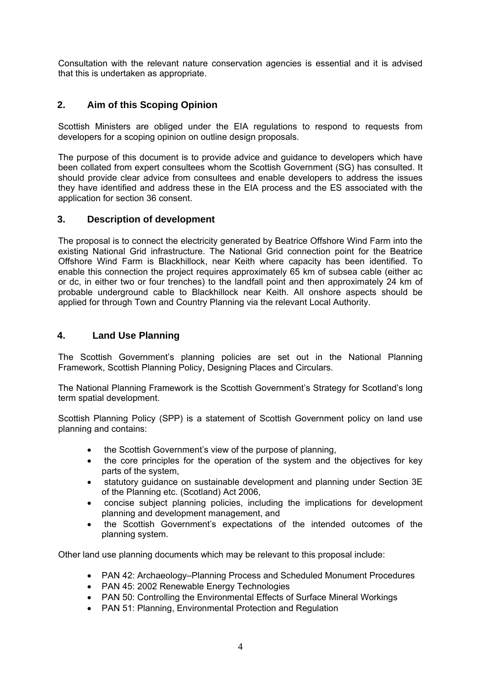Consultation with the relevant nature conservation agencies is essential and it is advised that this is undertaken as appropriate.

# **2. Aim of this Scoping Opinion**

Scottish Ministers are obliged under the EIA regulations to respond to requests from developers for a scoping opinion on outline design proposals.

The purpose of this document is to provide advice and guidance to developers which have been collated from expert consultees whom the Scottish Government (SG) has consulted. It should provide clear advice from consultees and enable developers to address the issues they have identified and address these in the EIA process and the ES associated with the application for section 36 consent.

# **3. Description of development**

The proposal is to connect the electricity generated by Beatrice Offshore Wind Farm into the existing National Grid infrastructure. The National Grid connection point for the Beatrice Offshore Wind Farm is Blackhillock, near Keith where capacity has been identified. To enable this connection the project requires approximately 65 km of subsea cable (either ac or dc, in either two or four trenches) to the landfall point and then approximately 24 km of probable underground cable to Blackhillock near Keith. All onshore aspects should be applied for through Town and Country Planning via the relevant Local Authority.

# **4. Land Use Planning**

The Scottish Government's planning policies are set out in the National Planning Framework, Scottish Planning Policy, Designing Places and Circulars.

The National Planning Framework is the Scottish Government's Strategy for Scotland's long term spatial development.

Scottish Planning Policy (SPP) is a statement of Scottish Government policy on land use planning and contains:

- the Scottish Government's view of the purpose of planning,
- the core principles for the operation of the system and the objectives for key parts of the system,
- statutory guidance on sustainable development and planning under Section 3E of the Planning etc. (Scotland) Act 2006,
- concise subject planning policies, including the implications for development planning and development management, and
- the Scottish Government's expectations of the intended outcomes of the planning system.

Other land use planning documents which may be relevant to this proposal include:

- PAN 42: Archaeology–Planning Process and Scheduled Monument Procedures
- PAN 45: 2002 Renewable Energy Technologies
- PAN 50: Controlling the Environmental Effects of Surface Mineral Workings
- PAN 51: Planning, Environmental Protection and Regulation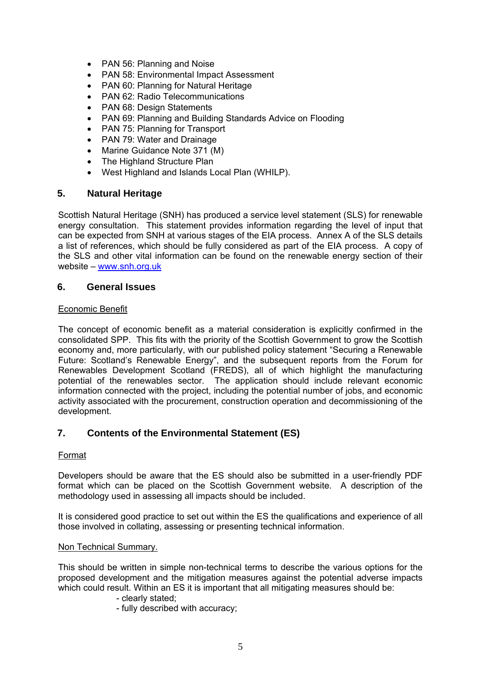- PAN 56: Planning and Noise
- PAN 58: Environmental Impact Assessment
- PAN 60: Planning for Natural Heritage
- PAN 62: Radio Telecommunications
- PAN 68: Design Statements
- PAN 69: Planning and Building Standards Advice on Flooding
- PAN 75: Planning for Transport
- PAN 79: Water and Drainage
- Marine Guidance Note 371 (M)
- The Highland Structure Plan
- West Highland and Islands Local Plan (WHILP).

# **5. Natural Heritage**

Scottish Natural Heritage (SNH) has produced a service level statement (SLS) for renewable energy consultation. This statement provides information regarding the level of input that can be expected from SNH at various stages of the EIA process. Annex A of the SLS details a list of references, which should be fully considered as part of the EIA process. A copy of the SLS and other vital information can be found on the renewable energy section of their website – www.snh.org.uk

## **6. General Issues**

## Economic Benefit

The concept of economic benefit as a material consideration is explicitly confirmed in the consolidated SPP. This fits with the priority of the Scottish Government to grow the Scottish economy and, more particularly, with our published policy statement "Securing a Renewable Future: Scotland's Renewable Energy", and the subsequent reports from the Forum for Renewables Development Scotland (FREDS), all of which highlight the manufacturing potential of the renewables sector. The application should include relevant economic information connected with the project, including the potential number of jobs, and economic activity associated with the procurement, construction operation and decommissioning of the development.

# **7. Contents of the Environmental Statement (ES)**

## Format

Developers should be aware that the ES should also be submitted in a user-friendly PDF format which can be placed on the Scottish Government website. A description of the methodology used in assessing all impacts should be included.

It is considered good practice to set out within the ES the qualifications and experience of all those involved in collating, assessing or presenting technical information.

#### Non Technical Summary.

This should be written in simple non-technical terms to describe the various options for the proposed development and the mitigation measures against the potential adverse impacts which could result. Within an ES it is important that all mitigating measures should be:

- clearly stated;
- fully described with accuracy;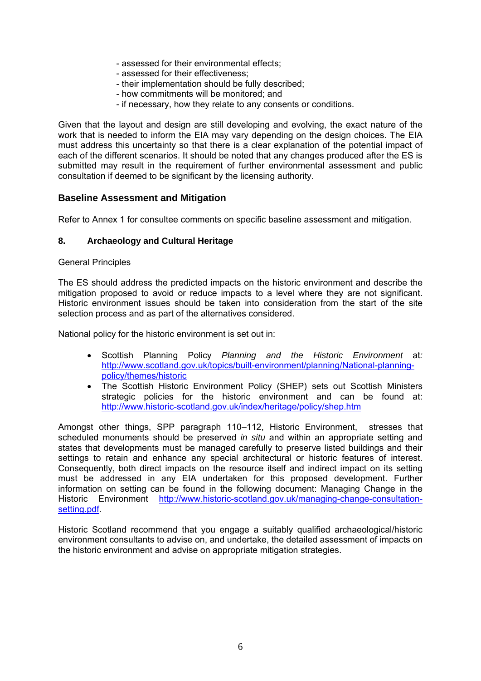- assessed for their environmental effects;
- assessed for their effectiveness;
- their implementation should be fully described;
- how commitments will be monitored; and
- if necessary, how they relate to any consents or conditions.

Given that the layout and design are still developing and evolving, the exact nature of the work that is needed to inform the EIA may vary depending on the design choices. The EIA must address this uncertainty so that there is a clear explanation of the potential impact of each of the different scenarios. It should be noted that any changes produced after the ES is submitted may result in the requirement of further environmental assessment and public consultation if deemed to be significant by the licensing authority.

# **Baseline Assessment and Mitigation**

Refer to Annex 1 for consultee comments on specific baseline assessment and mitigation.

## **8. Archaeology and Cultural Heritage**

#### General Principles

The ES should address the predicted impacts on the historic environment and describe the mitigation proposed to avoid or reduce impacts to a level where they are not significant. Historic environment issues should be taken into consideration from the start of the site selection process and as part of the alternatives considered.

National policy for the historic environment is set out in:

- Scottish Planning Policy *Planning and the Historic Environment* at*:* [http://www.scotland.gov.uk/topics/built-environment/planning/National-planning](http://www.scotland.gov.uk/Topics/Built-Environment/planning/National-Planning-Policy/themes/historic)[policy/themes/historic](http://www.scotland.gov.uk/Topics/Built-Environment/planning/National-Planning-Policy/themes/historic)
- The Scottish Historic Environment Policy (SHEP) sets out Scottish Ministers strategic policies for the historic environment and can be found at: <http://www.historic-scotland.gov.uk/index/heritage/policy/shep.htm>

Amongst other things, SPP paragraph 110–112, Historic Environment, stresses that scheduled monuments should be preserved *in situ* and within an appropriate setting and states that developments must be managed carefully to preserve listed buildings and their settings to retain and enhance any special architectural or historic features of interest. Consequently, both direct impacts on the resource itself and indirect impact on its setting must be addressed in any EIA undertaken for this proposed development. Further information on setting can be found in the following document: Managing Change in the Historic Environment [http://www.historic-scotland.gov.uk/managing-change-consultation](http://www.historic-scotland.gov.uk/managing-change-consultation-setting.pdf)[setting.pdf.](http://www.historic-scotland.gov.uk/managing-change-consultation-setting.pdf)

Historic Scotland recommend that you engage a suitably qualified archaeological/historic environment consultants to advise on, and undertake, the detailed assessment of impacts on the historic environment and advise on appropriate mitigation strategies.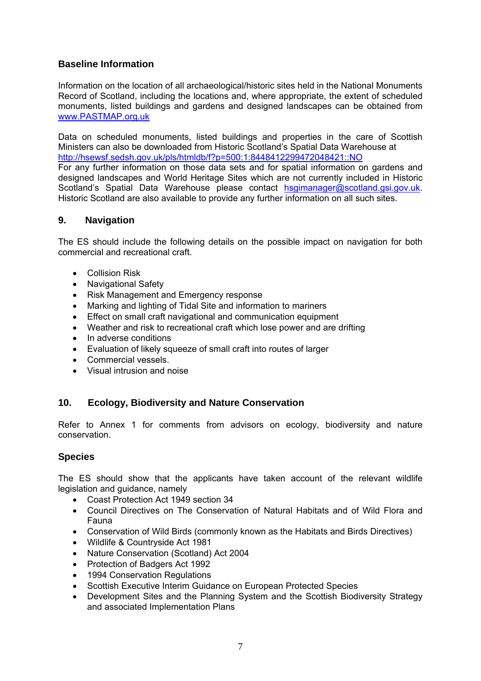# **Baseline Information**

Information on the location of all archaeological/historic sites held in the National Monuments Record of Scotland, including the locations and, where appropriate, the extent of scheduled monuments, listed buildings and gardens and designed landscapes can be obtained from [www.PASTMAP.org.uk](http://www.pastmap.org.uk/)

Data on scheduled monuments, listed buildings and properties in the care of Scottish Ministers can also be downloaded from Historic Scotland's Spatial Data Warehouse at <http://hsewsf.sedsh.gov.uk/pls/htmldb/f?p=500:1:8448412299472048421::NO>

For any further information on those data sets and for spatial information on gardens and designed landscapes and World Heritage Sites which are not currently included in Historic Scotland's Spatial Data Warehouse please contact [hsgimanager@scotland.gsi.gov.uk](mailto:hsgimanager@scotland.gsi.gov.uk). Historic Scotland are also available to provide any further information on all such sites.

# **9. Navigation**

The ES should include the following details on the possible impact on navigation for both commercial and recreational craft.

- Collision Risk
- Navigational Safety
- Risk Management and Emergency response
- Marking and lighting of Tidal Site and information to mariners
- Effect on small craft navigational and communication equipment
- Weather and risk to recreational craft which lose power and are drifting
- In adverse conditions
- Evaluation of likely squeeze of small craft into routes of larger
- Commercial vessels.
- Visual intrusion and noise

# **10. Ecology, Biodiversity and Nature Conservation**

Refer to Annex 1 for comments from advisors on ecology, biodiversity and nature conservation.

# **Species**

The ES should show that the applicants have taken account of the relevant wildlife legislation and guidance, namely

- Coast Protection Act 1949 section 34
- Council Directives on The Conservation of Natural Habitats and of Wild Flora and Fauna
- Conservation of Wild Birds (commonly known as the Habitats and Birds Directives)
- Wildlife & Countryside Act 1981
- Nature Conservation (Scotland) Act 2004
- Protection of Badgers Act 1992
- 1994 Conservation Regulations
- Scottish Executive Interim Guidance on European Protected Species
- Development Sites and the Planning System and the Scottish Biodiversity Strategy and associated Implementation Plans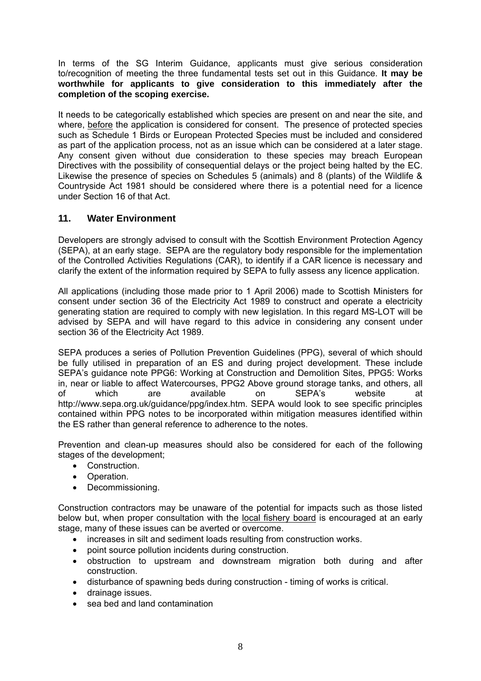In terms of the SG Interim Guidance, applicants must give serious consideration to/recognition of meeting the three fundamental tests set out in this Guidance. **It may be worthwhile for applicants to give consideration to this immediately after the completion of the scoping exercise.**

It needs to be categorically established which species are present on and near the site, and where, before the application is considered for consent. The presence of protected species such as Schedule 1 Birds or European Protected Species must be included and considered as part of the application process, not as an issue which can be considered at a later stage. Any consent given without due consideration to these species may breach European Directives with the possibility of consequential delays or the project being halted by the EC. Likewise the presence of species on Schedules 5 (animals) and 8 (plants) of the Wildlife & Countryside Act 1981 should be considered where there is a potential need for a licence under Section 16 of that Act.

# **11. Water Environment**

Developers are strongly advised to consult with the Scottish Environment Protection Agency (SEPA), at an early stage. SEPA are the regulatory body responsible for the implementation of the Controlled Activities Regulations (CAR), to identify if a CAR licence is necessary and clarify the extent of the information required by SEPA to fully assess any licence application.

All applications (including those made prior to 1 April 2006) made to Scottish Ministers for consent under section 36 of the Electricity Act 1989 to construct and operate a electricity generating station are required to comply with new legislation. In this regard MS-LOT will be advised by SEPA and will have regard to this advice in considering any consent under section 36 of the Electricity Act 1989.

SEPA produces a series of Pollution Prevention Guidelines (PPG), several of which should be fully utilised in preparation of an ES and during project development. These include SEPA's guidance note PPG6: Working at Construction and Demolition Sites, PPG5: Works in, near or liable to affect Watercourses, PPG2 Above ground storage tanks, and others, all of which are available on SEPA's website at http://www.sepa.org.uk/guidance/ppg/index.htm. SEPA would look to see specific principles contained within PPG notes to be incorporated within mitigation measures identified within the ES rather than general reference to adherence to the notes.

Prevention and clean-up measures should also be considered for each of the following stages of the development;

- Construction.
- Operation.
- Decommissioning.

Construction contractors may be unaware of the potential for impacts such as those listed below but, when proper consultation with the local fishery board is encouraged at an early stage, many of these issues can be averted or overcome.

- increases in silt and sediment loads resulting from construction works.
- point source pollution incidents during construction.
- obstruction to upstream and downstream migration both during and after construction.
- disturbance of spawning beds during construction timing of works is critical.
- drainage issues.
- sea bed and land contamination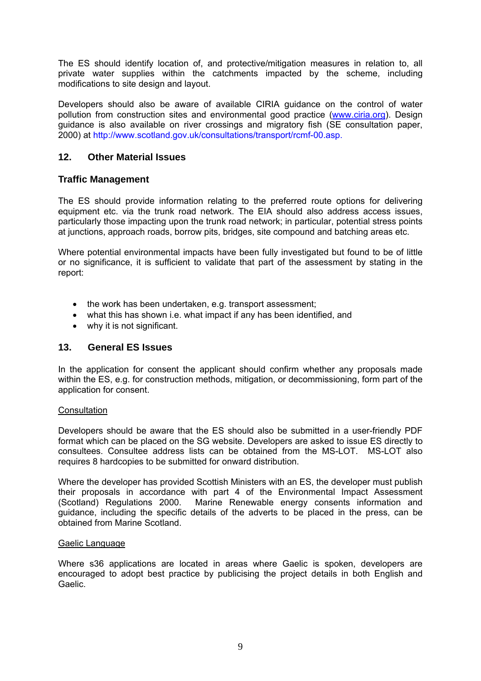The ES should identify location of, and protective/mitigation measures in relation to, all private water supplies within the catchments impacted by the scheme, including modifications to site design and layout.

Developers should also be aware of available CIRIA guidance on the control of water pollution from construction sites and environmental good practice [\(www.ciria.org](http://www.ciria.org/)). Design guidance is also available on river crossings and migratory fish (SE consultation paper, 2000) at<http://www.scotland.gov.uk/consultations/transport/rcmf-00.asp>.

# **12. Other Material Issues**

# **Traffic Management**

The ES should provide information relating to the preferred route options for delivering equipment etc. via the trunk road network. The EIA should also address access issues, particularly those impacting upon the trunk road network; in particular, potential stress points at junctions, approach roads, borrow pits, bridges, site compound and batching areas etc.

Where potential environmental impacts have been fully investigated but found to be of little or no significance, it is sufficient to validate that part of the assessment by stating in the report:

- the work has been undertaken, e.g. transport assessment;
- what this has shown i.e. what impact if any has been identified, and
- why it is not significant.

## **13. General ES Issues**

In the application for consent the applicant should confirm whether any proposals made within the ES, e.g. for construction methods, mitigation, or decommissioning, form part of the application for consent.

#### **Consultation**

Developers should be aware that the ES should also be submitted in a user-friendly PDF format which can be placed on the SG website. Developers are asked to issue ES directly to consultees. Consultee address lists can be obtained from the MS-LOT. MS-LOT also requires 8 hardcopies to be submitted for onward distribution.

Where the developer has provided Scottish Ministers with an ES, the developer must publish their proposals in accordance with part 4 of the Environmental Impact Assessment (Scotland) Regulations 2000. Marine Renewable energy consents information and guidance, including the specific details of the adverts to be placed in the press, can be obtained from Marine Scotland.

#### Gaelic Language

Where s36 applications are located in areas where Gaelic is spoken, developers are encouraged to adopt best practice by publicising the project details in both English and Gaelic.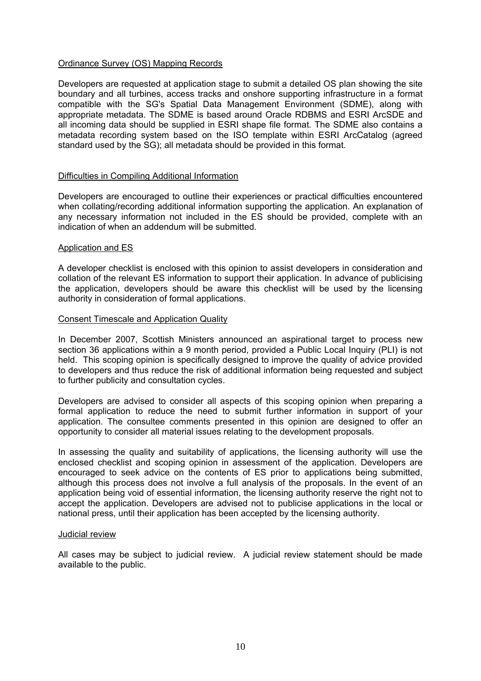#### Ordinance Survey (OS) Mapping Records

Developers are requested at application stage to submit a detailed OS plan showing the site boundary and all turbines, access tracks and onshore supporting infrastructure in a format compatible with the SG's Spatial Data Management Environment (SDME), along with appropriate metadata. The SDME is based around Oracle RDBMS and ESRI ArcSDE and all incoming data should be supplied in ESRI shape file format. The SDME also contains a metadata recording system based on the ISO template within ESRI ArcCatalog (agreed standard used by the SG); all metadata should be provided in this format.

#### Difficulties in Compiling Additional Information

Developers are encouraged to outline their experiences or practical difficulties encountered when collating/recording additional information supporting the application. An explanation of any necessary information not included in the ES should be provided, complete with an indication of when an addendum will be submitted.

#### Application and ES

A developer checklist is enclosed with this opinion to assist developers in consideration and collation of the relevant ES information to support their application. In advance of publicising the application, developers should be aware this checklist will be used by the licensing authority in consideration of formal applications.

#### Consent Timescale and Application Quality

In December 2007, Scottish Ministers announced an aspirational target to process new section 36 applications within a 9 month period, provided a Public Local Inquiry (PLI) is not held. This scoping opinion is specifically designed to improve the quality of advice provided to developers and thus reduce the risk of additional information being requested and subject to further publicity and consultation cycles.

Developers are advised to consider all aspects of this scoping opinion when preparing a formal application to reduce the need to submit further information in support of your application. The consultee comments presented in this opinion are designed to offer an opportunity to consider all material issues relating to the development proposals.

In assessing the quality and suitability of applications, the licensing authority will use the enclosed checklist and scoping opinion in assessment of the application. Developers are encouraged to seek advice on the contents of ES prior to applications being submitted, although this process does not involve a full analysis of the proposals. In the event of an application being void of essential information, the licensing authority reserve the right not to accept the application. Developers are advised not to publicise applications in the local or national press, until their application has been accepted by the licensing authority.

#### Judicial review

All cases may be subject to judicial review. A judicial review statement should be made available to the public.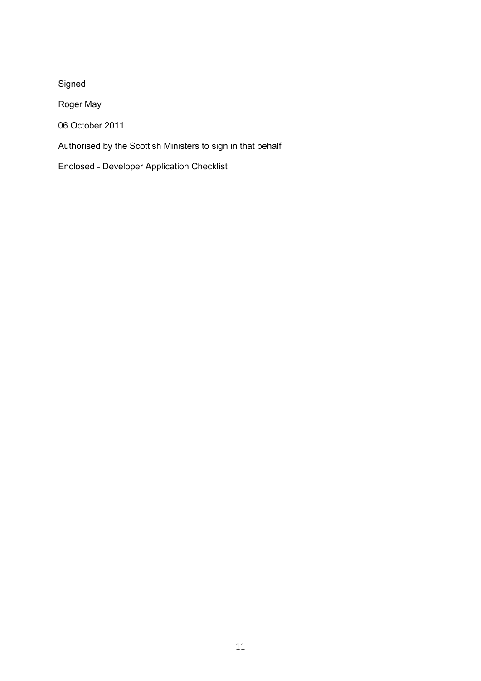Signed Roger May 06 October 2011 Authorised by the Scottish Ministers to sign in that behalf Enclosed - Developer Application Checklist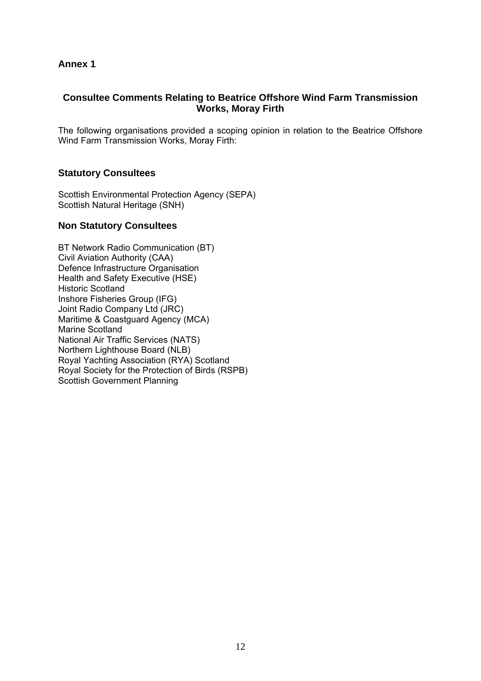# **Annex 1**

# **Consultee Comments Relating to Beatrice Offshore Wind Farm Transmission Works, Moray Firth**

The following organisations provided a scoping opinion in relation to the Beatrice Offshore Wind Farm Transmission Works, Moray Firth:

# **Statutory Consultees**

Scottish Environmental Protection Agency (SEPA) Scottish Natural Heritage (SNH)

## **Non Statutory Consultees**

BT Network Radio Communication (BT) Civil Aviation Authority (CAA) Defence Infrastructure Organisation Health and Safety Executive (HSE) Historic Scotland Inshore Fisheries Group (IFG) Joint Radio Company Ltd (JRC) Maritime & Coastguard Agency (MCA) Marine Scotland National Air Traffic Services (NATS) Northern Lighthouse Board (NLB) Royal Yachting Association (RYA) Scotland Royal Society for the Protection of Birds (RSPB) Scottish Government Planning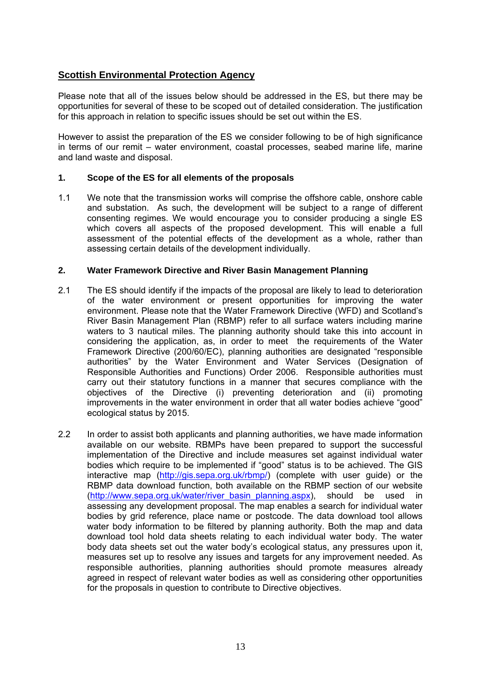# **Scottish Environmental Protection Agency**

Please note that all of the issues below should be addressed in the ES, but there may be opportunities for several of these to be scoped out of detailed consideration. The justification for this approach in relation to specific issues should be set out within the ES.

However to assist the preparation of the ES we consider following to be of high significance in terms of our remit – water environment, coastal processes, seabed marine life, marine and land waste and disposal.

## **1. Scope of the ES for all elements of the proposals**

1.1 We note that the transmission works will comprise the offshore cable, onshore cable and substation. As such, the development will be subject to a range of different consenting regimes. We would encourage you to consider producing a single ES which covers all aspects of the proposed development. This will enable a full assessment of the potential effects of the development as a whole, rather than assessing certain details of the development individually.

## **2. Water Framework Directive and River Basin Management Planning**

- 2.1 The ES should identify if the impacts of the proposal are likely to lead to deterioration of the water environment or present opportunities for improving the water environment. Please note that the Water Framework Directive (WFD) and Scotland's River Basin Management Plan (RBMP) refer to all surface waters including marine waters to 3 nautical miles. The planning authority should take this into account in considering the application, as, in order to meet the requirements of the Water Framework Directive (200/60/EC), planning authorities are designated "responsible authorities" by the Water Environment and Water Services (Designation of Responsible Authorities and Functions) Order 2006. Responsible authorities must carry out their statutory functions in a manner that secures compliance with the objectives of the Directive (i) preventing deterioration and (ii) promoting improvements in the water environment in order that all water bodies achieve "good" ecological status by 2015.
- 2.2 In order to assist both applicants and planning authorities, we have made information available on our website. RBMPs have been prepared to support the successful implementation of the Directive and include measures set against individual water bodies which require to be implemented if "good" status is to be achieved. The GIS interactive map (<http://gis.sepa.org.uk/rbmp/>) (complete with user guide) or the RBMP data download function, both available on the RBMP section of our website ([http://www.sepa.org.uk/water/river\\_basin\\_planning.aspx](http://www.sepa.org.uk/water/river_basin_planning.aspx)), should be used in assessing any development proposal. The map enables a search for individual water bodies by grid reference, place name or postcode. The data download tool allows water body information to be filtered by planning authority. Both the map and data download tool hold data sheets relating to each individual water body. The water body data sheets set out the water body's ecological status, any pressures upon it, measures set up to resolve any issues and targets for any improvement needed. As responsible authorities, planning authorities should promote measures already agreed in respect of relevant water bodies as well as considering other opportunities for the proposals in question to contribute to Directive objectives.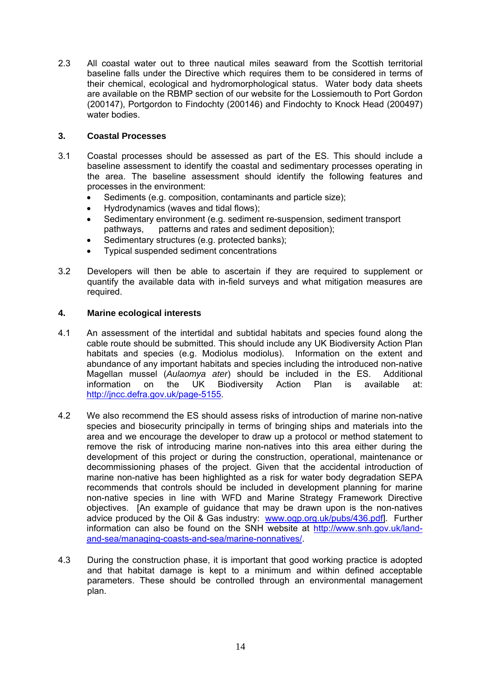2.3 All coastal water out to three nautical miles seaward from the Scottish territorial baseline falls under the Directive which requires them to be considered in terms of their chemical, ecological and hydromorphological status. Water body data sheets are available on the RBMP section of our website for the Lossiemouth to Port Gordon (200147), Portgordon to Findochty (200146) and Findochty to Knock Head (200497) water bodies.

# **3. Coastal Processes**

- 3.1 Coastal processes should be assessed as part of the ES. This should include a baseline assessment to identify the coastal and sedimentary processes operating in the area. The baseline assessment should identify the following features and processes in the environment:
	- Sediments (e.g. composition, contaminants and particle size);
	- Hydrodynamics (waves and tidal flows);
	- Sedimentary environment (e.g. sediment re-suspension, sediment transport pathways, patterns and rates and sediment deposition);
	- Sedimentary structures (e.g. protected banks);
	- Typical suspended sediment concentrations
- 3.2 Developers will then be able to ascertain if they are required to supplement or quantify the available data with in-field surveys and what mitigation measures are required.

# **4. Marine ecological interests**

- 4.1 An assessment of the intertidal and subtidal habitats and species found along the cable route should be submitted. This should include any UK Biodiversity Action Plan habitats and species (e.g. Modiolus modiolus). Information on the extent and abundance of any important habitats and species including the introduced non-native Magellan mussel (*Aulaomya ater*) should be included in the ES. Additional information on the UK Biodiversity Action Plan is available at: [http://jncc.defra.gov.uk/page-5155.](http://jncc.defra.gov.uk/page-5155)
- 4.2 We also recommend the ES should assess risks of introduction of marine non-native species and biosecurity principally in terms of bringing ships and materials into the area and we encourage the developer to draw up a protocol or method statement to remove the risk of introducing marine non-natives into this area either during the development of this project or during the construction, operational, maintenance or decommissioning phases of the project. Given that the accidental introduction of marine non-native has been highlighted as a risk for water body degradation SEPA recommends that controls should be included in development planning for marine non-native species in line with WFD and Marine Strategy Framework Directive objectives. [An example of guidance that may be drawn upon is the non-natives advice produced by the Oil & Gas industry: [www.ogp.org.uk/pubs/436.pdf](http://www.ogp.org.uk/pubs/436.pdf)]. Further information can also be found on the SNH website at [http://www.snh.gov.uk/land](http://www.snh.gov.uk/land-and-sea/managing-coasts-and-sea/marine-nonnatives/)[and-sea/managing-coasts-and-sea/marine-nonnatives/](http://www.snh.gov.uk/land-and-sea/managing-coasts-and-sea/marine-nonnatives/).
- 4.3 During the construction phase, it is important that good working practice is adopted and that habitat damage is kept to a minimum and within defined acceptable parameters. These should be controlled through an environmental management plan.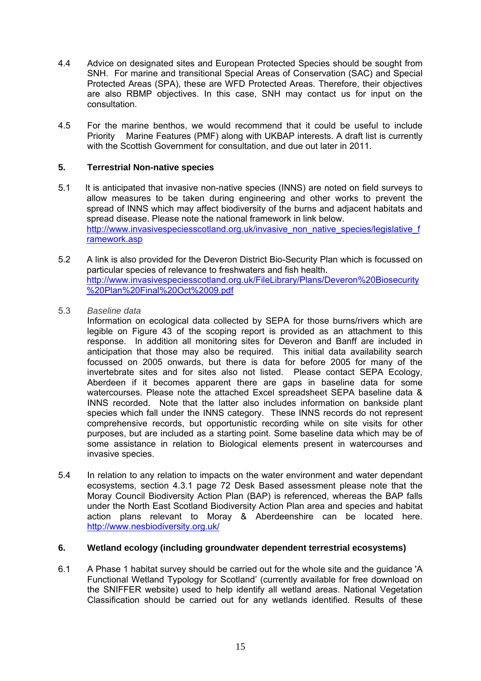- 4.4 Advice on designated sites and European Protected Species should be sought from SNH. For marine and transitional Special Areas of Conservation (SAC) and Special Protected Areas (SPA), these are WFD Protected Areas. Therefore, their objectives are also RBMP objectives. In this case, SNH may contact us for input on the consultation.
- 4.5 For the marine benthos, we would recommend that it could be useful to include Priority Marine Features (PMF) along with UKBAP interests. A draft list is currently with the Scottish Government for consultation, and due out later in 2011.

## **5. Terrestrial Non-native species**

- 5.1 It is anticipated that invasive non-native species (INNS) are noted on field surveys to allow measures to be taken during engineering and other works to prevent the spread of INNS which may affect biodiversity of the burns and adjacent habitats and spread disease. Please note the national framework in link below. [http://www.invasivespeciesscotland.org.uk/invasive\\_non\\_native\\_species/legislative\\_f](http://www.invasivespeciesscotland.org.uk/invasive_non_native_species/legislative_framework.asp) [ramework.asp](http://www.invasivespeciesscotland.org.uk/invasive_non_native_species/legislative_framework.asp)
- 5.2 A link is also provided for the Deveron District Bio-Security Plan which is focussed on particular species of relevance to freshwaters and fish health. [http://www.invasivespeciesscotland.org.uk/FileLibrary/Plans/Deveron%20Biosecurity](http://www.invasivespeciesscotland.org.uk/FileLibrary/Plans/Deveron%20Biosecurity%20Plan%20Final%20Oct%2009.pdf) [%20Plan%20Final%20Oct%2009.pdf](http://www.invasivespeciesscotland.org.uk/FileLibrary/Plans/Deveron%20Biosecurity%20Plan%20Final%20Oct%2009.pdf)
- 5.3 *Baseline data*

 Information on ecological data collected by SEPA for those burns/rivers which are legible on Figure 43 of the scoping report is provided as an attachment to this response. In addition all monitoring sites for Deveron and Banff are included in anticipation that those may also be required. This initial data availability search focussed on 2005 onwards, but there is data for before 2005 for many of the invertebrate sites and for sites also not listed. Please contact SEPA Ecology, Aberdeen if it becomes apparent there are gaps in baseline data for some watercourses. Please note the attached Excel spreadsheet SEPA baseline data & INNS recorded. Note that the latter also includes information on bankside plant species which fall under the INNS category. These INNS records do not represent comprehensive records, but opportunistic recording while on site visits for other purposes, but are included as a starting point. Some baseline data which may be of some assistance in relation to Biological elements present in watercourses and invasive species.

5.4 In relation to any relation to impacts on the water environment and water dependant ecosystems, section 4.3.1 page 72 Desk Based assessment please note that the Moray Council Biodiversity Action Plan (BAP) is referenced, whereas the BAP falls under the North East Scotland Biodiversity Action Plan area and species and habitat action plans relevant to Moray & Aberdeenshire can be located here. <http://www.nesbiodiversity.org.uk/>

# **6. Wetland ecology (including groundwater dependent terrestrial ecosystems)**

6.1 A Phase 1 habitat survey should be carried out for the whole site and the guidance 'A Functional Wetland Typology for Scotland' (currently available for free download on the SNIFFER website) used to help identify all wetland areas. National Vegetation Classification should be carried out for any wetlands identified. Results of these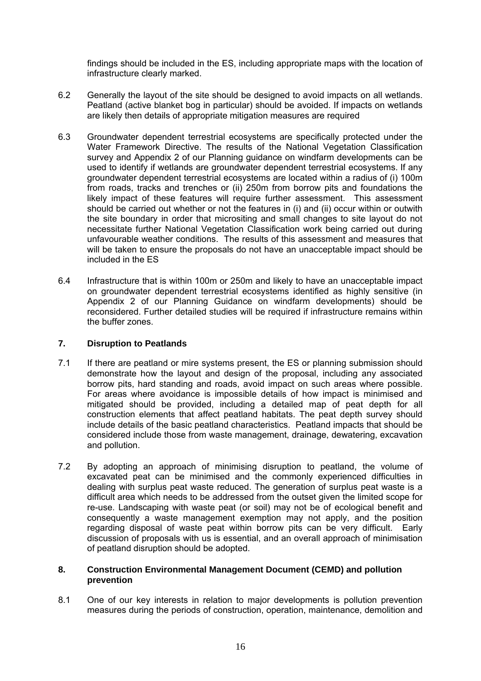findings should be included in the ES, including appropriate maps with the location of infrastructure clearly marked.

- 6.2 Generally the layout of the site should be designed to avoid impacts on all wetlands. Peatland (active blanket bog in particular) should be avoided. If impacts on wetlands are likely then details of appropriate mitigation measures are required
- 6.3 Groundwater dependent terrestrial ecosystems are specifically protected under the Water Framework Directive. The results of the National Vegetation Classification survey and Appendix 2 of our [Planning guidance on windfarm developments](http://www.sepa.org.uk/idoc.ashx?docid=e2f23e2a-8db8-4c9d-8495-11228b266430&version=-1) can be used to identify if wetlands are groundwater dependent terrestrial ecosystems. If any groundwater dependent terrestrial ecosystems are located within a radius of (i) 100m from roads, tracks and trenches or (ii) 250m from borrow pits and foundations the likely impact of these features will require further assessment. This assessment should be carried out whether or not the features in (i) and (ii) occur within or outwith the site boundary in order that micrositing and small changes to site layout do not necessitate further National Vegetation Classification work being carried out during unfavourable weather conditions. The results of this assessment and measures that will be taken to ensure the proposals do not have an unacceptable impact should be included in the ES
- 6.4 Infrastructure that is within 100m or 250m and likely to have an unacceptable impact on groundwater dependent terrestrial ecosystems identified as highly sensitive (in Appendix 2 of our Planning Guidance on windfarm developments) should be reconsidered. Further detailed studies will be required if infrastructure remains within the buffer zones.

## **7. Disruption to Peatlands**

- 7.1 If there are peatland or mire systems present, the ES or planning submission should demonstrate how the layout and design of the proposal, including any associated borrow pits, hard standing and roads, avoid impact on such areas where possible. For areas where avoidance is impossible details of how impact is minimised and mitigated should be provided, including a detailed map of peat depth for all construction elements that affect peatland habitats. The peat depth survey should include details of the basic peatland characteristics. Peatland impacts that should be considered include those from waste management, drainage, dewatering, excavation and pollution.
- 7.2 By adopting an approach of minimising disruption to peatland, the volume of excavated peat can be minimised and the commonly experienced difficulties in dealing with surplus peat waste reduced. The generation of surplus peat waste is a difficult area which needs to be addressed from the outset given the limited scope for re-use. Landscaping with waste peat (or soil) may not be of ecological benefit and consequently a waste management exemption may not apply, and the position regarding disposal of waste peat within borrow pits can be very difficult. Early discussion of proposals with us is essential, and an overall approach of minimisation of peatland disruption should be adopted.

#### **8. Construction Environmental Management Document (CEMD) and pollution prevention**

8.1 One of our key interests in relation to major developments is pollution prevention measures during the periods of construction, operation, maintenance, demolition and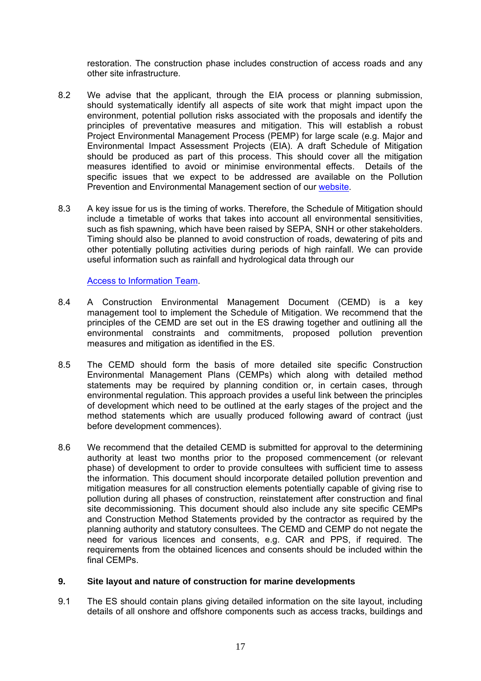restoration. The construction phase includes construction of access roads and any other site infrastructure.

- 8.2 We advise that the applicant, through the EIA process or planning submission, should systematically identify all aspects of site work that might impact upon the environment, potential pollution risks associated with the proposals and identify the principles of preventative measures and mitigation. This will establish a robust Project Environmental Management Process (PEMP) for large scale (e.g. Major and Environmental Impact Assessment Projects (EIA). A draft Schedule of Mitigation should be produced as part of this process. This should cover all the mitigation measures identified to avoid or minimise environmental effects. Details of the specific issues that we expect to be addressed are available on the Pollution Prevention and Environmental Management section of our [website](http://www.sepa.org.uk/planning/construction_and_pollution.aspx).
- 8.3 A key issue for us is the timing of works. Therefore, the Schedule of Mitigation should include a timetable of works that takes into account all environmental sensitivities, such as fish spawning, which have been raised by SEPA, SNH or other stakeholders. Timing should also be planned to avoid construction of roads, dewatering of pits and other potentially polluting activities during periods of high rainfall. We can provide useful information such as rainfall and hydrological data through our

## [Access to Information Team.](http://www.sepa.org.uk/about_us/access_to_information.aspx)

- 8.4 A Construction Environmental Management Document (CEMD) is a key management tool to implement the Schedule of Mitigation. We recommend that the principles of the CEMD are set out in the ES drawing together and outlining all the environmental constraints and commitments, proposed pollution prevention measures and mitigation as identified in the ES.
- 8.5 The CEMD should form the basis of more detailed site specific Construction Environmental Management Plans (CEMPs) which along with detailed method statements may be required by planning condition or, in certain cases, through environmental regulation. This approach provides a useful link between the principles of development which need to be outlined at the early stages of the project and the method statements which are usually produced following award of contract (just before development commences).
- 8.6 We recommend that the detailed CEMD is submitted for approval to the determining authority at least two months prior to the proposed commencement (or relevant phase) of development to order to provide consultees with sufficient time to assess the information. This document should incorporate detailed pollution prevention and mitigation measures for all construction elements potentially capable of giving rise to pollution during all phases of construction, reinstatement after construction and final site decommissioning. This document should also include any site specific CEMPs and Construction Method Statements provided by the contractor as required by the planning authority and statutory consultees. The CEMD and CEMP do not negate the need for various licences and consents, e.g. CAR and PPS, if required. The requirements from the obtained licences and consents should be included within the final CEMPs.

#### **9. Site layout and nature of construction for marine developments**

9.1 The ES should contain plans giving detailed information on the site layout, including details of all onshore and offshore components such as access tracks, buildings and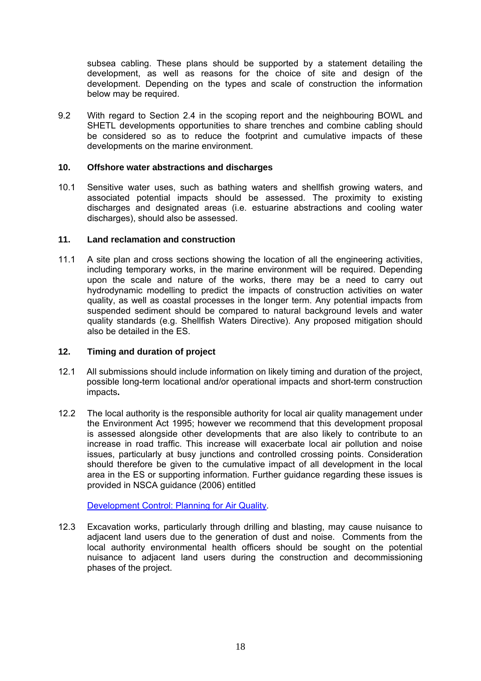subsea cabling. These plans should be supported by a statement detailing the development, as well as reasons for the choice of site and design of the development. Depending on the types and scale of construction the information below may be required.

9.2 With regard to Section 2.4 in the scoping report and the neighbouring BOWL and SHETL developments opportunities to share trenches and combine cabling should be considered so as to reduce the footprint and cumulative impacts of these developments on the marine environment.

## **10. Offshore water abstractions and discharges**

10.1 Sensitive water uses, such as bathing waters and shellfish growing waters, and associated potential impacts should be assessed. The proximity to existing discharges and designated areas (i.e. estuarine abstractions and cooling water discharges), should also be assessed.

#### **11. Land reclamation and construction**

11.1 A site plan and cross sections showing the location of all the engineering activities, including temporary works, in the marine environment will be required. Depending upon the scale and nature of the works, there may be a need to carry out hydrodynamic modelling to predict the impacts of construction activities on water quality, as well as coastal processes in the longer term. Any potential impacts from suspended sediment should be compared to natural background levels and water quality standards (e.g. Shellfish Waters Directive). Any proposed mitigation should also be detailed in the ES.

## **12. Timing and duration of project**

- 12.1 All submissions should include information on likely timing and duration of the project, possible long-term locational and/or operational impacts and short-term construction impacts**.**
- 12.2 The local authority is the responsible authority for local air quality management under the Environment Act 1995; however we recommend that this development proposal is assessed alongside other developments that are also likely to contribute to an increase in road traffic. This increase will exacerbate local air pollution and noise issues, particularly at busy junctions and controlled crossing points. Consideration should therefore be given to the cumulative impact of all development in the local area in the ES or supporting information. Further guidance regarding these issues is provided in NSCA guidance (2006) entitled

[Development Control: Planning for Air Quality.](http://www.environmental-protection.org.uk/assets/library/documents/Development_Control_planning_for_air_quality.pdf)

12.3 Excavation works, particularly through drilling and blasting, may cause nuisance to adjacent land users due to the generation of dust and noise. Comments from the local authority environmental health officers should be sought on the potential nuisance to adjacent land users during the construction and decommissioning phases of the project.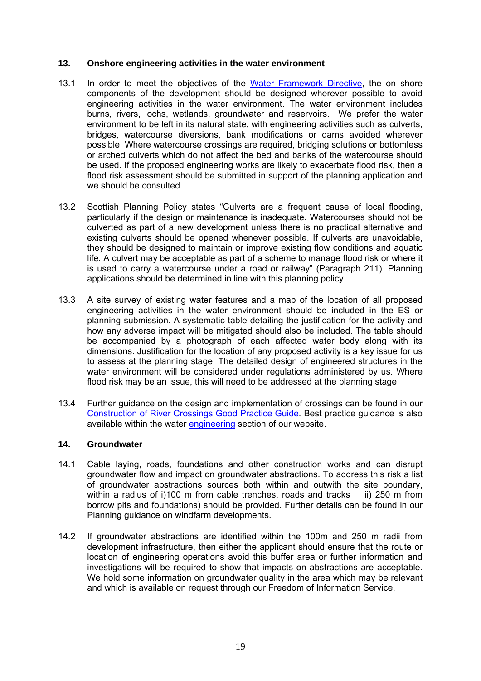#### **13. Onshore engineering activities in the water environment**

- 13.1 In order to meet the objectives of the [Water Framework Directive](http://www.sepa.org.uk/water/water_regulation.aspx), the on shore components of the development should be designed wherever possible to avoid engineering activities in the water environment. The water environment includes burns, rivers, lochs, wetlands, groundwater and reservoirs. We prefer the water environment to be left in its natural state, with engineering activities such as culverts, bridges, watercourse diversions, bank modifications or dams avoided wherever possible. Where watercourse crossings are required, bridging solutions or bottomless or arched culverts which do not affect the bed and banks of the watercourse should be used. If the proposed engineering works are likely to exacerbate flood risk, then a flood risk assessment should be submitted in support of the planning application and we should be consulted.
- 13.2 Scottish Planning Policy states "Culverts are a frequent cause of local flooding, particularly if the design or maintenance is inadequate. Watercourses should not be culverted as part of a new development unless there is no practical alternative and existing culverts should be opened whenever possible. If culverts are unavoidable, they should be designed to maintain or improve existing flow conditions and aquatic life. A culvert may be acceptable as part of a scheme to manage flood risk or where it is used to carry a watercourse under a road or railway" (Paragraph 211). Planning applications should be determined in line with this planning policy.
- 13.3 A site survey of existing water features and a map of the location of all proposed engineering activities in the water environment should be included in the ES or planning submission. A systematic table detailing the justification for the activity and how any adverse impact will be mitigated should also be included. The table should be accompanied by a photograph of each affected water body along with its dimensions. Justification for the location of any proposed activity is a key issue for us to assess at the planning stage. The detailed design of engineered structures in the water environment will be considered under regulations administered by us. Where flood risk may be an issue, this will need to be addressed at the planning stage.
- 13.4 Further guidance on the design and implementation of crossings can be found in our [Construction of River Crossings Good Practice Guide.](http://www.sepa.org.uk/water/water_regulation/guidance/idoc.ashx?docid=813bf507-416f-4186-96d1-7ea4f963884f&version=-1) Best practice guidance is also available within the water [engineering](http://www.sepa.org.uk/water/water_regulation/guidance/engineering.aspx) section of our website.

#### **14. Groundwater**

- 14.1 Cable laying, roads, foundations and other construction works and can disrupt groundwater flow and impact on groundwater abstractions. To address this risk a list of groundwater abstractions sources both within and outwith the site boundary, within a radius of i)100 m from cable trenches, roads and tracks iii) 250 m from borrow pits and foundations) should be provided. Further details can be found in our [Planning guidance on windfarm developments](http://www.sepa.org.uk/idoc.ashx?docid=e2f23e2a-8db8-4c9d-8495-11228b266430&version=-1).
- 14.2 If groundwater abstractions are identified within the 100m and 250 m radii from development infrastructure, then either the applicant should ensure that the route or location of engineering operations avoid this buffer area or further information and investigations will be required to show that impacts on abstractions are acceptable. We hold some information on groundwater quality in the area which may be relevant and which is available on request through our Freedom of Information Service.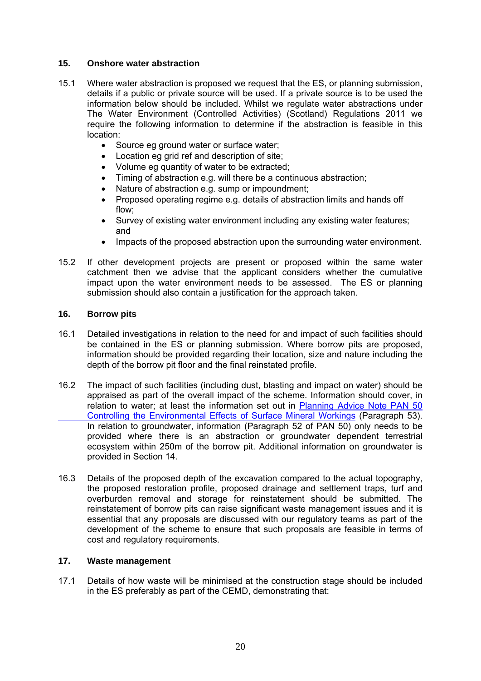## **15. Onshore water abstraction**

- 15.1 Where water abstraction is proposed we request that the ES, or planning submission, details if a public or private source will be used. If a private source is to be used the information below should be included. Whilst we regulate water abstractions under The Water Environment (Controlled Activities) (Scotland) Regulations 2011 we require the following information to determine if the abstraction is feasible in this location:
	- Source eg ground water or surface water;
	- Location eg grid ref and description of site;
	- Volume eg quantity of water to be extracted;
	- Timing of abstraction e.g. will there be a continuous abstraction;
	- Nature of abstraction e.g. sump or impoundment;
	- Proposed operating regime e.g. details of abstraction limits and hands off flow;
	- Survey of existing water environment including any existing water features; and
	- Impacts of the proposed abstraction upon the surrounding water environment.
- 15.2 If other development projects are present or proposed within the same water catchment then we advise that the applicant considers whether the cumulative impact upon the water environment needs to be assessed. The ES or planning submission should also contain a justification for the approach taken.

## **16. Borrow pits**

- 16.1 Detailed investigations in relation to the need for and impact of such facilities should be contained in the ES or planning submission. Where borrow pits are proposed, information should be provided regarding their location, size and nature including the depth of the borrow pit floor and the final reinstated profile.
- 16.2 The impact of such facilities (including dust, blasting and impact on water) should be appraised as part of the overall impact of the scheme. Information should cover, in relation to water; at least the information set out in [Planning Advice Note PAN 50](http://www.scotland.gov.uk/Publications/1996/10/17729/23424)   [Controlling the Environmental Effects of Surface Mineral Workings](http://www.scotland.gov.uk/Publications/1996/10/17729/23424) (Paragraph 53). In relation to groundwater, information (Paragraph 52 of PAN 50) only needs to be provided where there is an abstraction or groundwater dependent terrestrial ecosystem within 250m of the borrow pit. Additional information on groundwater is provided in Section 14.
- 16.3 Details of the proposed depth of the excavation compared to the actual topography, the proposed restoration profile, proposed drainage and settlement traps, turf and overburden removal and storage for reinstatement should be submitted. The reinstatement of borrow pits can raise significant waste management issues and it is essential that any proposals are discussed with our regulatory teams as part of the development of the scheme to ensure that such proposals are feasible in terms of cost and regulatory requirements.

## **17. Waste management**

17.1 Details of how waste will be minimised at the construction stage should be included in the ES preferably as part of the CEMD, demonstrating that: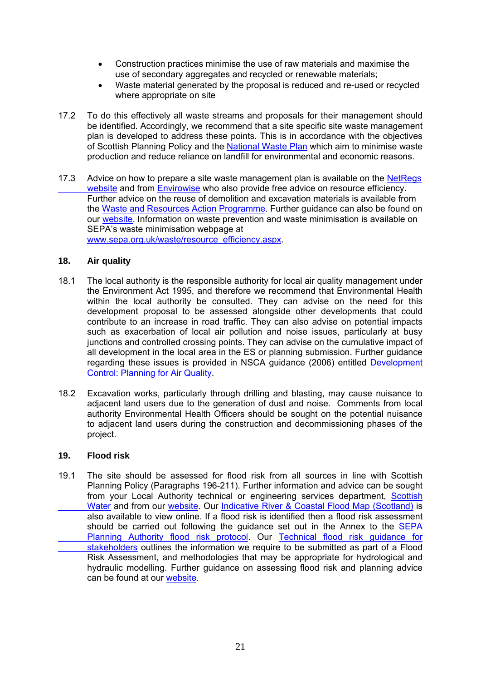- Construction practices minimise the use of raw materials and maximise the use of secondary aggregates and recycled or renewable materials;
- Waste material generated by the proposal is reduced and re-used or recycled where appropriate on site
- 17.2 To do this effectively all waste streams and proposals for their management should be identified. Accordingly, we recommend that a site specific site waste management plan is developed to address these points. This is in accordance with the objectives of Scottish Planning Policy and the [National Waste Plan](http://www.sepa.org.uk/waste/moving_towards_zero_waste/national_waste_plan.aspx) which aim to minimise waste production and reduce reliance on landfill for environmental and economic reasons.
- 17.3 Advice on how to prepare a site waste management plan is available on the NetRegs  [website](http://www.netregs-swmp.co.uk/) and from [Envirowise](http://www.envirowise.gov.uk/uk/Our-Services/Publications/GG899-Site-Waste-Management-Plan-SWMP-Regulations-Guide-.html) who also provide free advice on resource efficiency. Further advice on the reuse of demolition and excavation materials is available from the [Waste and Resources Action Programme.](http://www.aggregain.org.uk/) Further guidance can also be found on our [website](http://www.sepa.org.uk/planning/waste_management.aspx). Information on waste prevention and waste minimisation is available on SEPA's waste minimisation webpage at [www.sepa.org.uk/waste/resource\\_efficiency.aspx](http://www.sepa.org.uk/waste/resource_efficiency.aspx).

## **18. Air quality**

- 18.1 The local authority is the responsible authority for local air quality management under the Environment Act 1995, and therefore we recommend that Environmental Health within the local authority be consulted. They can advise on the need for this development proposal to be assessed alongside other developments that could contribute to an increase in road traffic. They can also advise on potential impacts such as exacerbation of local air pollution and noise issues, particularly at busy junctions and controlled crossing points. They can advise on the cumulative impact of all development in the local area in the ES or planning submission. Further guidance regarding these issues is provided in NSCA guidance (2006) entitled [Development](http://www.environmental-protection.org.uk/assets/library/documents/Development_Control_planning_for_air_quality.pdf)   [Control: Planning for Air Quality](http://www.environmental-protection.org.uk/assets/library/documents/Development_Control_planning_for_air_quality.pdf).
- 18.2 Excavation works, particularly through drilling and blasting, may cause nuisance to adjacent land users due to the generation of dust and noise. Comments from local authority Environmental Health Officers should be sought on the potential nuisance to adjacent land users during the construction and decommissioning phases of the project.

## **19. Flood risk**

19.1 The site should be assessed for flood risk from all sources in line with Scottish Planning Policy (Paragraphs 196-211). Further information and advice can be sought from your Local Authority technical or engineering services department, [Scottish](http://www.scottishwater.co.uk/portal/page/portal/SWE_PGP_ABOUT_US/SWE_PGE_ABOUT_US/SWE_AU_CONTACT_US)  Water and from our [website](http://www.sepa.org.uk/planning/flood_risk.aspx). Our [Indicative River & Coastal Flood Map \(Scotland\)](http://www.sepa.org.uk/flooding/flood_map.aspx) is also available to view online. If a flood risk is identified then a flood risk assessment should be carried out following the guidance set out in the Annex to the [SEPA](http://www.sepa.org.uk/flooding/idoc.ashx?docid=%205768590c-8a08-41ee-bad9-47640aa1b08a&version=-1)   [Planning Authority flood risk protocol](http://www.sepa.org.uk/flooding/idoc.ashx?docid=%205768590c-8a08-41ee-bad9-47640aa1b08a&version=-1). Our [Technical flood risk guidance for](http://www.sepa.org.uk/flooding/flood_risk/idoc.ashx?docid=d5f02ffd-d027-4724-9f9f-76fdc7d33aab&version=-1)   [stakeholders](http://www.sepa.org.uk/flooding/flood_risk/idoc.ashx?docid=d5f02ffd-d027-4724-9f9f-76fdc7d33aab&version=-1) outlines the information we require to be submitted as part of a Flood Risk Assessment, and methodologies that may be appropriate for hydrological and hydraulic modelling. Further guidance on assessing flood risk and planning advice can be found at our [website](http://www.sepa.org.uk/planning.aspx).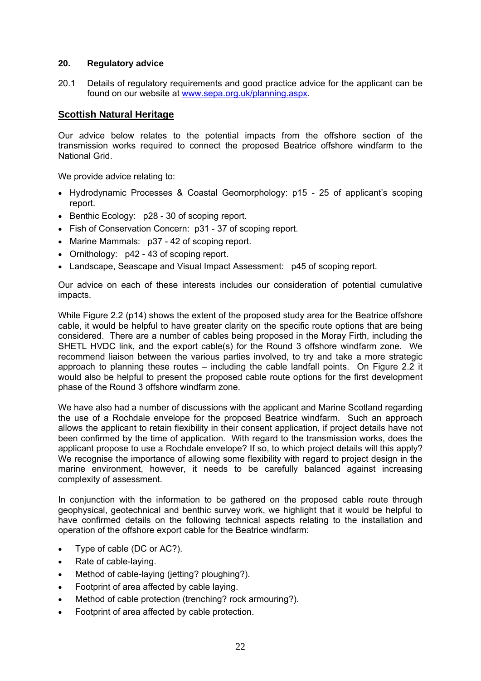#### **20. Regulatory advice**

20.1 Details of regulatory requirements and good practice advice for the applicant can be found on our website at [www.sepa.org.uk/planning.aspx.](http://www.sepa.org.uk/planning.aspx)

## **Scottish Natural Heritage**

Our advice below relates to the potential impacts from the offshore section of the transmission works required to connect the proposed Beatrice offshore windfarm to the National Grid.

We provide advice relating to:

- Hydrodynamic Processes & Coastal Geomorphology: p15 25 of applicant's scoping report.
- Benthic Ecology: p28 30 of scoping report.
- Fish of Conservation Concern: p31 37 of scoping report.
- Marine Mammals: p37 42 of scoping report.
- Ornithology: p42 43 of scoping report.
- Landscape, Seascape and Visual Impact Assessment: p45 of scoping report.

Our advice on each of these interests includes our consideration of potential cumulative impacts.

While Figure 2.2 (p14) shows the extent of the proposed study area for the Beatrice offshore cable, it would be helpful to have greater clarity on the specific route options that are being considered. There are a number of cables being proposed in the Moray Firth, including the SHETL HVDC link, and the export cable(s) for the Round 3 offshore windfarm zone. We recommend liaison between the various parties involved, to try and take a more strategic approach to planning these routes – including the cable landfall points. On Figure 2.2 it would also be helpful to present the proposed cable route options for the first development phase of the Round 3 offshore windfarm zone.

We have also had a number of discussions with the applicant and Marine Scotland regarding the use of a Rochdale envelope for the proposed Beatrice windfarm. Such an approach allows the applicant to retain flexibility in their consent application, if project details have not been confirmed by the time of application. With regard to the transmission works, does the applicant propose to use a Rochdale envelope? If so, to which project details will this apply? We recognise the importance of allowing some flexibility with regard to project design in the marine environment, however, it needs to be carefully balanced against increasing complexity of assessment.

In conjunction with the information to be gathered on the proposed cable route through geophysical, geotechnical and benthic survey work, we highlight that it would be helpful to have confirmed details on the following technical aspects relating to the installation and operation of the offshore export cable for the Beatrice windfarm:

- Type of cable (DC or AC?).
- Rate of cable-laying.
- Method of cable-laying (jetting? ploughing?).
- Footprint of area affected by cable laying.
- Method of cable protection (trenching? rock armouring?).
- Footprint of area affected by cable protection.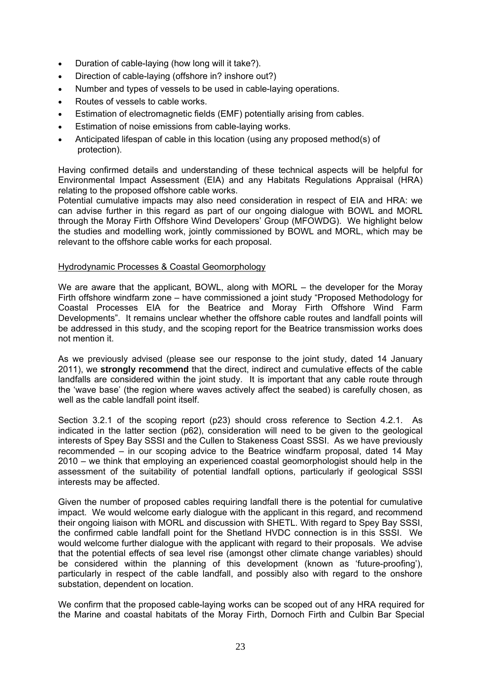- Duration of cable-laying (how long will it take?).
- Direction of cable-laying (offshore in? inshore out?)
- Number and types of vessels to be used in cable-laying operations.
- Routes of vessels to cable works.
- Estimation of electromagnetic fields (EMF) potentially arising from cables.
- Estimation of noise emissions from cable-laying works.
- Anticipated lifespan of cable in this location (using any proposed method(s) of protection).

Having confirmed details and understanding of these technical aspects will be helpful for Environmental Impact Assessment (EIA) and any Habitats Regulations Appraisal (HRA) relating to the proposed offshore cable works.

Potential cumulative impacts may also need consideration in respect of EIA and HRA: we can advise further in this regard as part of our ongoing dialogue with BOWL and MORL through the Moray Firth Offshore Wind Developers' Group (MFOWDG). We highlight below the studies and modelling work, jointly commissioned by BOWL and MORL, which may be relevant to the offshore cable works for each proposal.

#### Hydrodynamic Processes & Coastal Geomorphology

We are aware that the applicant, BOWL, along with MORL – the developer for the Moray Firth offshore windfarm zone – have commissioned a joint study "Proposed Methodology for Coastal Processes EIA for the Beatrice and Moray Firth Offshore Wind Farm Developments". It remains unclear whether the offshore cable routes and landfall points will be addressed in this study, and the scoping report for the Beatrice transmission works does not mention it.

As we previously advised (please see our response to the joint study, dated 14 January 2011), we **strongly recommend** that the direct, indirect and cumulative effects of the cable landfalls are considered within the joint study. It is important that any cable route through the 'wave base' (the region where waves actively affect the seabed) is carefully chosen, as well as the cable landfall point itself.

Section 3.2.1 of the scoping report (p23) should cross reference to Section 4.2.1. As indicated in the latter section (p62), consideration will need to be given to the geological interests of Spey Bay SSSI and the Cullen to Stakeness Coast SSSI. As we have previously recommended – in our scoping advice to the Beatrice windfarm proposal, dated 14 May 2010 – we think that employing an experienced coastal geomorphologist should help in the assessment of the suitability of potential landfall options, particularly if geological SSSI interests may be affected.

Given the number of proposed cables requiring landfall there is the potential for cumulative impact. We would welcome early dialogue with the applicant in this regard, and recommend their ongoing liaison with MORL and discussion with SHETL. With regard to Spey Bay SSSI, the confirmed cable landfall point for the Shetland HVDC connection is in this SSSI. We would welcome further dialogue with the applicant with regard to their proposals. We advise that the potential effects of sea level rise (amongst other climate change variables) should be considered within the planning of this development (known as 'future-proofing'), particularly in respect of the cable landfall, and possibly also with regard to the onshore substation, dependent on location.

We confirm that the proposed cable-laying works can be scoped out of any HRA required for the Marine and coastal habitats of the Moray Firth, Dornoch Firth and Culbin Bar Special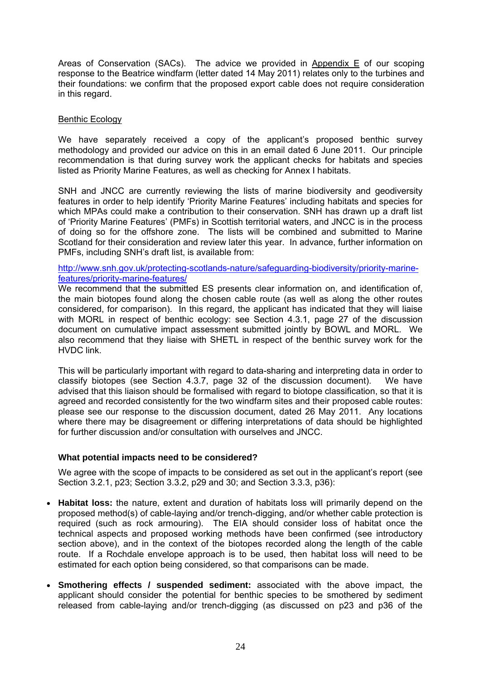Areas of Conservation (SACs). The advice we provided in Appendix E of our scoping response to the Beatrice windfarm (letter dated 14 May 2011) relates only to the turbines and their foundations: we confirm that the proposed export cable does not require consideration in this regard.

#### Benthic Ecology

We have separately received a copy of the applicant's proposed benthic survey methodology and provided our advice on this in an email dated 6 June 2011. Our principle recommendation is that during survey work the applicant checks for habitats and species listed as Priority Marine Features, as well as checking for Annex I habitats.

 SNH and JNCC are currently reviewing the lists of marine biodiversity and geodiversity features in order to help identify 'Priority Marine Features' including habitats and species for which MPAs could make a contribution to their conservation. SNH has drawn up a draft list of 'Priority Marine Features' (PMFs) in Scottish territorial waters, and JNCC is in the process of doing so for the offshore zone. The lists will be combined and submitted to Marine Scotland for their consideration and review later this year. In advance, further information on PMFs, including SNH's draft list, is available from:

[http://www.snh.gov.uk/protecting-scotlands-nature/safeguarding-biodiversity/priority-marine](http://www.snh.gov.uk/protecting-scotlands-nature/safeguarding-biodiversity/priority-marine-features/priority-marine-features/)[features/priority-marine-features/](http://www.snh.gov.uk/protecting-scotlands-nature/safeguarding-biodiversity/priority-marine-features/priority-marine-features/) 

We recommend that the submitted ES presents clear information on, and identification of. the main biotopes found along the chosen cable route (as well as along the other routes considered, for comparison). In this regard, the applicant has indicated that they will liaise with MORL in respect of benthic ecology: see Section 4.3.1, page 27 of the discussion document on cumulative impact assessment submitted jointly by BOWL and MORL. We also recommend that they liaise with SHETL in respect of the benthic survey work for the HVDC link.

This will be particularly important with regard to data-sharing and interpreting data in order to classify biotopes (see Section 4.3.7, page 32 of the discussion document). We have advised that this liaison should be formalised with regard to biotope classification, so that it is agreed and recorded consistently for the two windfarm sites and their proposed cable routes: please see our response to the discussion document, dated 26 May 2011. Any locations where there may be disagreement or differing interpretations of data should be highlighted for further discussion and/or consultation with ourselves and JNCC.

## **What potential impacts need to be considered?**

We agree with the scope of impacts to be considered as set out in the applicant's report (see Section 3.2.1, p23; Section 3.3.2, p29 and 30; and Section 3.3.3, p36):

- **Habitat loss:** the nature, extent and duration of habitats loss will primarily depend on the proposed method(s) of cable-laying and/or trench-digging, and/or whether cable protection is required (such as rock armouring). The EIA should consider loss of habitat once the technical aspects and proposed working methods have been confirmed (see introductory section above), and in the context of the biotopes recorded along the length of the cable route. If a Rochdale envelope approach is to be used, then habitat loss will need to be estimated for each option being considered, so that comparisons can be made.
- **Smothering effects / suspended sediment:** associated with the above impact, the applicant should consider the potential for benthic species to be smothered by sediment released from cable-laying and/or trench-digging (as discussed on p23 and p36 of the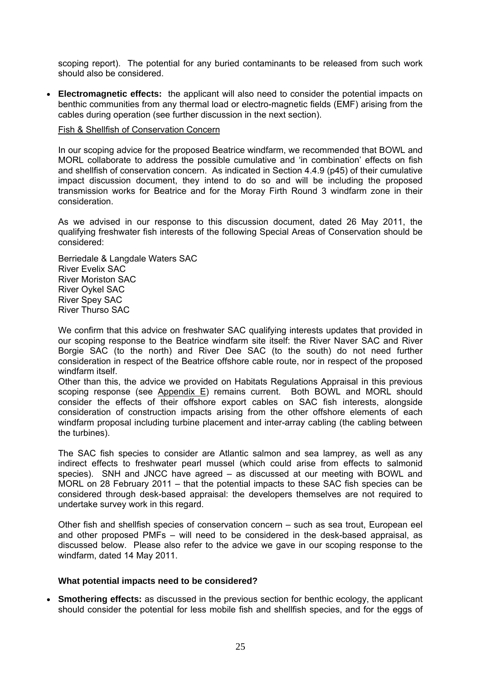scoping report). The potential for any buried contaminants to be released from such work should also be considered.

• **Electromagnetic effects:** the applicant will also need to consider the potential impacts on benthic communities from any thermal load or electro-magnetic fields (EMF) arising from the cables during operation (see further discussion in the next section).

#### Fish & Shellfish of Conservation Concern

In our scoping advice for the proposed Beatrice windfarm, we recommended that BOWL and MORL collaborate to address the possible cumulative and 'in combination' effects on fish and shellfish of conservation concern. As indicated in Section 4.4.9 (p45) of their cumulative impact discussion document, they intend to do so and will be including the proposed transmission works for Beatrice and for the Moray Firth Round 3 windfarm zone in their consideration.

As we advised in our response to this discussion document, dated 26 May 2011, the qualifying freshwater fish interests of the following Special Areas of Conservation should be considered:

Berriedale & Langdale Waters SAC River Evelix SAC River Moriston SAC River Oykel SAC River Spey SAC River Thurso SAC

We confirm that this advice on freshwater SAC qualifying interests updates that provided in our scoping response to the Beatrice windfarm site itself: the River Naver SAC and River Borgie SAC (to the north) and River Dee SAC (to the south) do not need further consideration in respect of the Beatrice offshore cable route, nor in respect of the proposed windfarm itself.

Other than this, the advice we provided on Habitats Regulations Appraisal in this previous scoping response (see Appendix E) remains current. Both BOWL and MORL should consider the effects of their offshore export cables on SAC fish interests, alongside consideration of construction impacts arising from the other offshore elements of each windfarm proposal including turbine placement and inter-array cabling (the cabling between the turbines).

The SAC fish species to consider are Atlantic salmon and sea lamprey, as well as any indirect effects to freshwater pearl mussel (which could arise from effects to salmonid species). SNH and JNCC have agreed – as discussed at our meeting with BOWL and MORL on 28 February 2011 – that the potential impacts to these SAC fish species can be considered through desk-based appraisal: the developers themselves are not required to undertake survey work in this regard.

Other fish and shellfish species of conservation concern – such as sea trout, European eel and other proposed PMFs – will need to be considered in the desk-based appraisal, as discussed below. Please also refer to the advice we gave in our scoping response to the windfarm, dated 14 May 2011.

#### **What potential impacts need to be considered?**

• **Smothering effects:** as discussed in the previous section for benthic ecology, the applicant should consider the potential for less mobile fish and shellfish species, and for the eggs of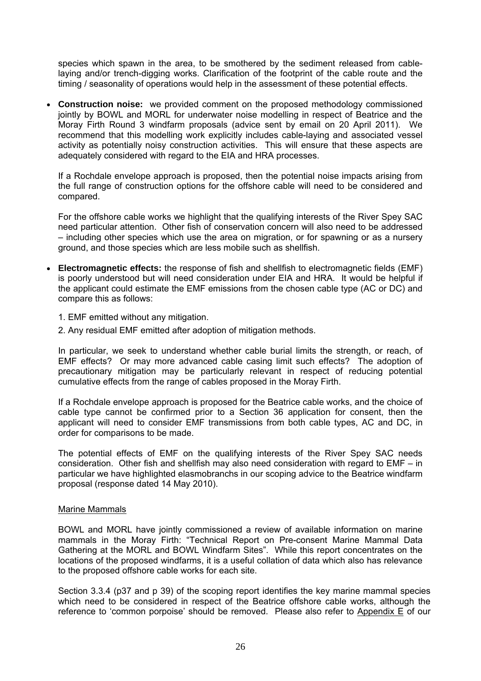species which spawn in the area, to be smothered by the sediment released from cablelaying and/or trench-digging works. Clarification of the footprint of the cable route and the timing / seasonality of operations would help in the assessment of these potential effects.

• **Construction noise:** we provided comment on the proposed methodology commissioned jointly by BOWL and MORL for underwater noise modelling in respect of Beatrice and the Moray Firth Round 3 windfarm proposals (advice sent by email on 20 April 2011). We recommend that this modelling work explicitly includes cable-laying and associated vessel activity as potentially noisy construction activities. This will ensure that these aspects are adequately considered with regard to the EIA and HRA processes.

If a Rochdale envelope approach is proposed, then the potential noise impacts arising from the full range of construction options for the offshore cable will need to be considered and compared.

For the offshore cable works we highlight that the qualifying interests of the River Spey SAC need particular attention. Other fish of conservation concern will also need to be addressed – including other species which use the area on migration, or for spawning or as a nursery ground, and those species which are less mobile such as shellfish.

- **Electromagnetic effects:** the response of fish and shellfish to electromagnetic fields (EMF) is poorly understood but will need consideration under EIA and HRA. It would be helpful if the applicant could estimate the EMF emissions from the chosen cable type (AC or DC) and compare this as follows:
	- 1. EMF emitted without any mitigation.
	- 2. Any residual EMF emitted after adoption of mitigation methods.

In particular, we seek to understand whether cable burial limits the strength, or reach, of EMF effects? Or may more advanced cable casing limit such effects? The adoption of precautionary mitigation may be particularly relevant in respect of reducing potential cumulative effects from the range of cables proposed in the Moray Firth.

If a Rochdale envelope approach is proposed for the Beatrice cable works, and the choice of cable type cannot be confirmed prior to a Section 36 application for consent, then the applicant will need to consider EMF transmissions from both cable types, AC and DC, in order for comparisons to be made.

The potential effects of EMF on the qualifying interests of the River Spey SAC needs consideration. Other fish and shellfish may also need consideration with regard to EMF – in particular we have highlighted elasmobranchs in our scoping advice to the Beatrice windfarm proposal (response dated 14 May 2010).

#### Marine Mammals

BOWL and MORL have jointly commissioned a review of available information on marine mammals in the Moray Firth: "Technical Report on Pre-consent Marine Mammal Data Gathering at the MORL and BOWL Windfarm Sites". While this report concentrates on the locations of the proposed windfarms, it is a useful collation of data which also has relevance to the proposed offshore cable works for each site.

Section 3.3.4 (p37 and p 39) of the scoping report identifies the key marine mammal species which need to be considered in respect of the Beatrice offshore cable works, although the reference to 'common porpoise' should be removed. Please also refer to Appendix E of our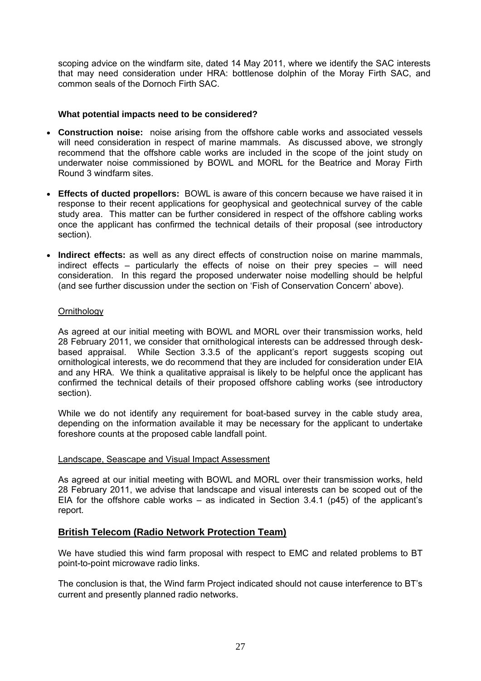scoping advice on the windfarm site, dated 14 May 2011, where we identify the SAC interests that may need consideration under HRA: bottlenose dolphin of the Moray Firth SAC, and common seals of the Dornoch Firth SAC.

#### **What potential impacts need to be considered?**

- **Construction noise:** noise arising from the offshore cable works and associated vessels will need consideration in respect of marine mammals. As discussed above, we strongly recommend that the offshore cable works are included in the scope of the joint study on underwater noise commissioned by BOWL and MORL for the Beatrice and Moray Firth Round 3 windfarm sites.
- **Effects of ducted propellors:** BOWL is aware of this concern because we have raised it in response to their recent applications for geophysical and geotechnical survey of the cable study area. This matter can be further considered in respect of the offshore cabling works once the applicant has confirmed the technical details of their proposal (see introductory section).
- **Indirect effects:** as well as any direct effects of construction noise on marine mammals, indirect effects – particularly the effects of noise on their prey species – will need consideration. In this regard the proposed underwater noise modelling should be helpful (and see further discussion under the section on 'Fish of Conservation Concern' above).

#### **Ornithology**

As agreed at our initial meeting with BOWL and MORL over their transmission works, held 28 February 2011, we consider that ornithological interests can be addressed through deskbased appraisal. While Section 3.3.5 of the applicant's report suggests scoping out ornithological interests, we do recommend that they are included for consideration under EIA and any HRA. We think a qualitative appraisal is likely to be helpful once the applicant has confirmed the technical details of their proposed offshore cabling works (see introductory section).

While we do not identify any requirement for boat-based survey in the cable study area, depending on the information available it may be necessary for the applicant to undertake foreshore counts at the proposed cable landfall point.

#### Landscape, Seascape and Visual Impact Assessment

As agreed at our initial meeting with BOWL and MORL over their transmission works, held 28 February 2011, we advise that landscape and visual interests can be scoped out of the EIA for the offshore cable works – as indicated in Section 3.4.1 (p45) of the applicant's report.

## **British Telecom (Radio Network Protection Team)**

We have studied this wind farm proposal with respect to EMC and related problems to BT point-to-point microwave radio links.

The conclusion is that, the Wind farm Project indicated should not cause interference to BT's current and presently planned radio networks.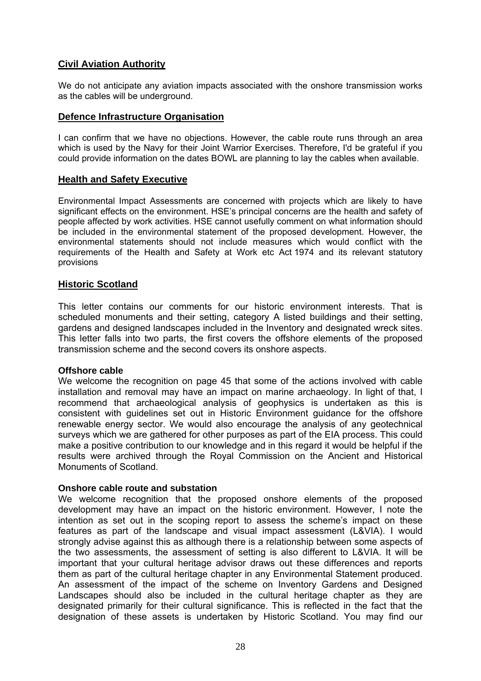# **Civil Aviation Authority**

We do not anticipate any aviation impacts associated with the onshore transmission works as the cables will be underground.

## **Defence Infrastructure Organisation**

I can confirm that we have no objections. However, the cable route runs through an area which is used by the Navy for their Joint Warrior Exercises. Therefore, I'd be grateful if you could provide information on the dates BOWL are planning to lay the cables when available.

# **Health and Safety Executive**

Environmental Impact Assessments are concerned with projects which are likely to have significant effects on the environment. HSE's principal concerns are the health and safety of people affected by work activities. HSE cannot usefully comment on what information should be included in the environmental statement of the proposed development. However, the environmental statements should not include measures which would conflict with the requirements of the Health and Safety at Work etc Act 1974 and its relevant statutory provisions

## **Historic Scotland**

This letter contains our comments for our historic environment interests. That is scheduled monuments and their setting, category A listed buildings and their setting, gardens and designed landscapes included in the Inventory and designated wreck sites. This letter falls into two parts, the first covers the offshore elements of the proposed transmission scheme and the second covers its onshore aspects.

## **Offshore cable**

We welcome the recognition on page 45 that some of the actions involved with cable installation and removal may have an impact on marine archaeology. In light of that, I recommend that archaeological analysis of geophysics is undertaken as this is consistent with guidelines set out in Historic Environment guidance for the offshore renewable energy sector. We would also encourage the analysis of any geotechnical surveys which we are gathered for other purposes as part of the EIA process. This could make a positive contribution to our knowledge and in this regard it would be helpful if the results were archived through the Royal Commission on the Ancient and Historical Monuments of Scotland.

## **Onshore cable route and substation**

We welcome recognition that the proposed onshore elements of the proposed development may have an impact on the historic environment. However, I note the intention as set out in the scoping report to assess the scheme's impact on these features as part of the landscape and visual impact assessment (L&VIA). I would strongly advise against this as although there is a relationship between some aspects of the two assessments, the assessment of setting is also different to L&VIA. It will be important that your cultural heritage advisor draws out these differences and reports them as part of the cultural heritage chapter in any Environmental Statement produced. An assessment of the impact of the scheme on Inventory Gardens and Designed Landscapes should also be included in the cultural heritage chapter as they are designated primarily for their cultural significance. This is reflected in the fact that the designation of these assets is undertaken by Historic Scotland. You may find our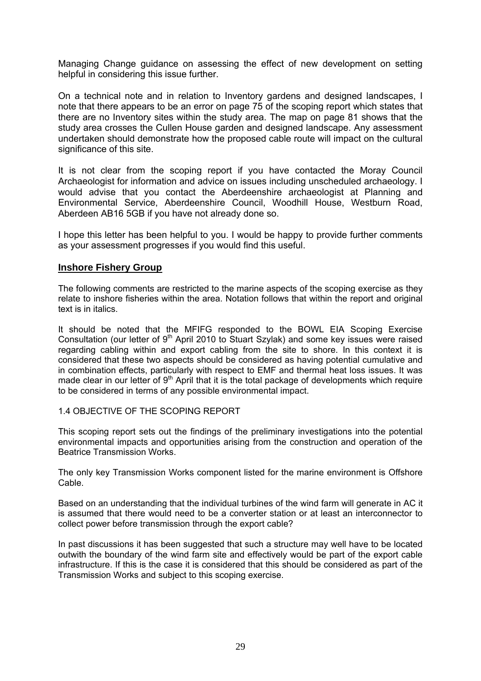Managing Change guidance on assessing the effect of new development on setting helpful in considering this issue further.

On a technical note and in relation to Inventory gardens and designed landscapes, I note that there appears to be an error on page 75 of the scoping report which states that there are no Inventory sites within the study area. The map on page 81 shows that the study area crosses the Cullen House garden and designed landscape. Any assessment undertaken should demonstrate how the proposed cable route will impact on the cultural significance of this site.

It is not clear from the scoping report if you have contacted the Moray Council Archaeologist for information and advice on issues including unscheduled archaeology. I would advise that you contact the Aberdeenshire archaeologist at Planning and Environmental Service, Aberdeenshire Council, Woodhill House, Westburn Road, Aberdeen AB16 5GB if you have not already done so.

I hope this letter has been helpful to you. I would be happy to provide further comments as your assessment progresses if you would find this useful.

# **Inshore Fishery Group**

The following comments are restricted to the marine aspects of the scoping exercise as they relate to inshore fisheries within the area. Notation follows that within the report and original text is in italics.

It should be noted that the MFIFG responded to the BOWL EIA Scoping Exercise Consultation (our letter of  $9<sup>th</sup>$  April 2010 to Stuart Szylak) and some key issues were raised regarding cabling within and export cabling from the site to shore. In this context it is considered that these two aspects should be considered as having potential cumulative and in combination effects, particularly with respect to EMF and thermal heat loss issues. It was made clear in our letter of  $9<sup>th</sup>$  April that it is the total package of developments which require to be considered in terms of any possible environmental impact.

## 1.4 OBJECTIVE OF THE SCOPING REPORT

This scoping report sets out the findings of the preliminary investigations into the potential environmental impacts and opportunities arising from the construction and operation of the Beatrice Transmission Works.

The only key Transmission Works component listed for the marine environment is Offshore Cable.

Based on an understanding that the individual turbines of the wind farm will generate in AC it is assumed that there would need to be a converter station or at least an interconnector to collect power before transmission through the export cable?

In past discussions it has been suggested that such a structure may well have to be located outwith the boundary of the wind farm site and effectively would be part of the export cable infrastructure. If this is the case it is considered that this should be considered as part of the Transmission Works and subject to this scoping exercise.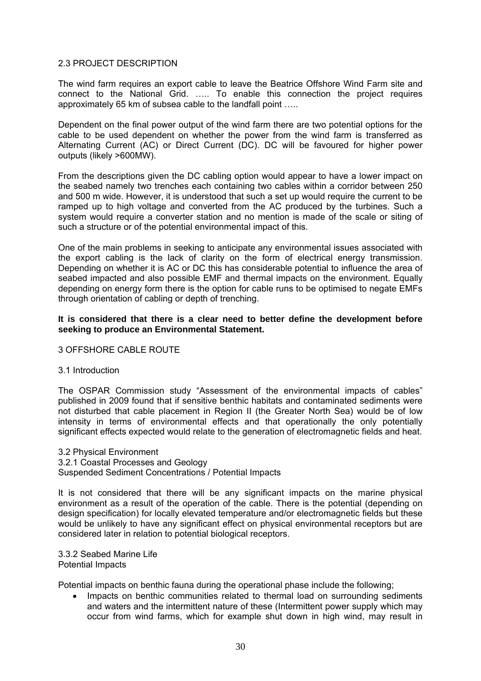#### 2.3 PROJECT DESCRIPTION

The wind farm requires an export cable to leave the Beatrice Offshore Wind Farm site and connect to the National Grid. ….. To enable this connection the project requires approximately 65 km of subsea cable to the landfall point …..

Dependent on the final power output of the wind farm there are two potential options for the cable to be used dependent on whether the power from the wind farm is transferred as Alternating Current (AC) or Direct Current (DC). DC will be favoured for higher power outputs (likely >600MW).

From the descriptions given the DC cabling option would appear to have a lower impact on the seabed namely two trenches each containing two cables within a corridor between 250 and 500 m wide. However, it is understood that such a set up would require the current to be ramped up to high voltage and converted from the AC produced by the turbines. Such a system would require a converter station and no mention is made of the scale or siting of such a structure or of the potential environmental impact of this.

One of the main problems in seeking to anticipate any environmental issues associated with the export cabling is the lack of clarity on the form of electrical energy transmission. Depending on whether it is AC or DC this has considerable potential to influence the area of seabed impacted and also possible EMF and thermal impacts on the environment. Equally depending on energy form there is the option for cable runs to be optimised to negate EMFs through orientation of cabling or depth of trenching.

#### **It is considered that there is a clear need to better define the development before seeking to produce an Environmental Statement.**

## 3 OFFSHORE CABLE ROUTE

#### 3.1 Introduction

The OSPAR Commission study "Assessment of the environmental impacts of cables" published in 2009 found that if sensitive benthic habitats and contaminated sediments were not disturbed that cable placement in Region II (the Greater North Sea) would be of low intensity in terms of environmental effects and that operationally the only potentially significant effects expected would relate to the generation of electromagnetic fields and heat.

3.2 Physical Environment 3.2.1 Coastal Processes and Geology Suspended Sediment Concentrations / Potential Impacts

It is not considered that there will be any significant impacts on the marine physical environment as a result of the operation of the cable. There is the potential (depending on design specification) for locally elevated temperature and/or electromagnetic fields but these would be unlikely to have any significant effect on physical environmental receptors but are considered later in relation to potential biological receptors.

3.3.2 Seabed Marine Life Potential Impacts

Potential impacts on benthic fauna during the operational phase include the following;

• Impacts on benthic communities related to thermal load on surrounding sediments and waters and the intermittent nature of these (Intermittent power supply which may occur from wind farms, which for example shut down in high wind, may result in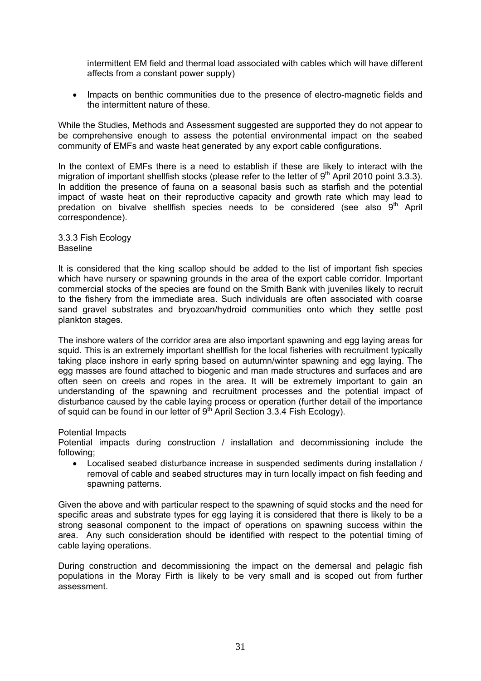intermittent EM field and thermal load associated with cables which will have different affects from a constant power supply)

• Impacts on benthic communities due to the presence of electro-magnetic fields and the intermittent nature of these.

While the Studies, Methods and Assessment suggested are supported they do not appear to be comprehensive enough to assess the potential environmental impact on the seabed community of EMFs and waste heat generated by any export cable configurations.

In the context of EMFs there is a need to establish if these are likely to interact with the migration of important shellfish stocks (please refer to the letter of  $9<sup>th</sup>$  April 2010 point 3.3.3). In addition the presence of fauna on a seasonal basis such as starfish and the potential impact of waste heat on their reproductive capacity and growth rate which may lead to predation on bivalve shellfish species needs to be considered (see also  $9<sup>th</sup>$  April correspondence).

3.3.3 Fish Ecology Baseline

It is considered that the king scallop should be added to the list of important fish species which have nursery or spawning grounds in the area of the export cable corridor. Important commercial stocks of the species are found on the Smith Bank with juveniles likely to recruit to the fishery from the immediate area. Such individuals are often associated with coarse sand gravel substrates and bryozoan/hydroid communities onto which they settle post plankton stages.

The inshore waters of the corridor area are also important spawning and egg laying areas for squid. This is an extremely important shellfish for the local fisheries with recruitment typically taking place inshore in early spring based on autumn/winter spawning and egg laying. The egg masses are found attached to biogenic and man made structures and surfaces and are often seen on creels and ropes in the area. It will be extremely important to gain an understanding of the spawning and recruitment processes and the potential impact of disturbance caused by the cable laying process or operation (further detail of the importance of squid can be found in our letter of  $9<sup>th</sup>$  April Section 3.3.4 Fish Ecology).

Potential Impacts

Potential impacts during construction / installation and decommissioning include the following;

• Localised seabed disturbance increase in suspended sediments during installation / removal of cable and seabed structures may in turn locally impact on fish feeding and spawning patterns.

Given the above and with particular respect to the spawning of squid stocks and the need for specific areas and substrate types for egg laying it is considered that there is likely to be a strong seasonal component to the impact of operations on spawning success within the area. Any such consideration should be identified with respect to the potential timing of cable laying operations.

During construction and decommissioning the impact on the demersal and pelagic fish populations in the Moray Firth is likely to be very small and is scoped out from further assessment.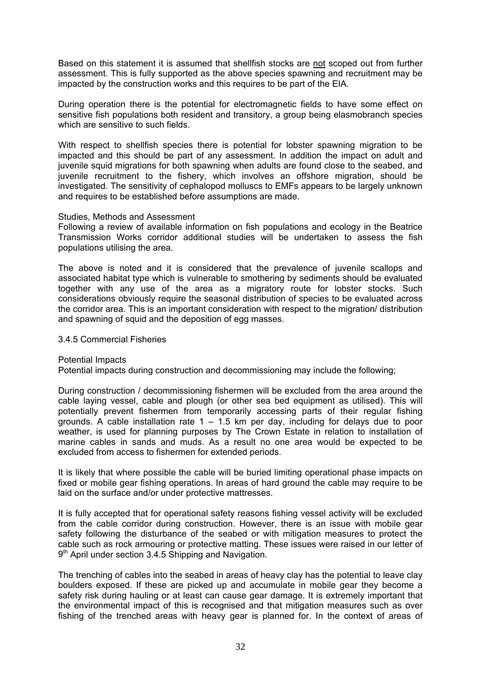Based on this statement it is assumed that shellfish stocks are not scoped out from further assessment. This is fully supported as the above species spawning and recruitment may be impacted by the construction works and this requires to be part of the EIA.

During operation there is the potential for electromagnetic fields to have some effect on sensitive fish populations both resident and transitory, a group being elasmobranch species which are sensitive to such fields.

With respect to shellfish species there is potential for lobster spawning migration to be impacted and this should be part of any assessment. In addition the impact on adult and juvenile squid migrations for both spawning when adults are found close to the seabed, and juvenile recruitment to the fishery, which involves an offshore migration, should be investigated. The sensitivity of cephalopod molluscs to EMFs appears to be largely unknown and requires to be established before assumptions are made.

#### Studies, Methods and Assessment

Following a review of available information on fish populations and ecology in the Beatrice Transmission Works corridor additional studies will be undertaken to assess the fish populations utilising the area.

The above is noted and it is considered that the prevalence of juvenile scallops and associated habitat type which is vulnerable to smothering by sediments should be evaluated together with any use of the area as a migratory route for lobster stocks. Such considerations obviously require the seasonal distribution of species to be evaluated across the corridor area. This is an important consideration with respect to the migration/ distribution and spawning of squid and the deposition of egg masses.

#### 3.4.5 Commercial Fisheries

Potential Impacts

Potential impacts during construction and decommissioning may include the following;

During construction / decommissioning fishermen will be excluded from the area around the cable laying vessel, cable and plough (or other sea bed equipment as utilised). This will potentially prevent fishermen from temporarily accessing parts of their regular fishing grounds. A cable installation rate  $1 - 1.5$  km per day, including for delays due to poor weather, is used for planning purposes by The Crown Estate in relation to installation of marine cables in sands and muds. As a result no one area would be expected to be excluded from access to fishermen for extended periods.

It is likely that where possible the cable will be buried limiting operational phase impacts on fixed or mobile gear fishing operations. In areas of hard ground the cable may require to be laid on the surface and/or under protective mattresses.

It is fully accepted that for operational safety reasons fishing vessel activity will be excluded from the cable corridor during construction. However, there is an issue with mobile gear safety following the disturbance of the seabed or with mitigation measures to protect the cable such as rock armouring or protective matting. These issues were raised in our letter of 9<sup>th</sup> April under section 3.4.5 Shipping and Navigation.

The trenching of cables into the seabed in areas of heavy clay has the potential to leave clay boulders exposed. If these are picked up and accumulate in mobile gear they become a safety risk during hauling or at least can cause gear damage. It is extremely important that the environmental impact of this is recognised and that mitigation measures such as over fishing of the trenched areas with heavy gear is planned for. In the context of areas of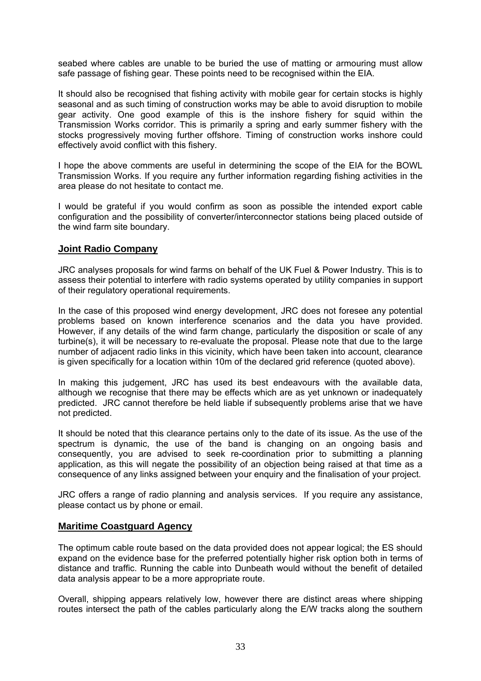seabed where cables are unable to be buried the use of matting or armouring must allow safe passage of fishing gear. These points need to be recognised within the EIA.

It should also be recognised that fishing activity with mobile gear for certain stocks is highly seasonal and as such timing of construction works may be able to avoid disruption to mobile gear activity. One good example of this is the inshore fishery for squid within the Transmission Works corridor. This is primarily a spring and early summer fishery with the stocks progressively moving further offshore. Timing of construction works inshore could effectively avoid conflict with this fishery.

I hope the above comments are useful in determining the scope of the EIA for the BOWL Transmission Works. If you require any further information regarding fishing activities in the area please do not hesitate to contact me.

I would be grateful if you would confirm as soon as possible the intended export cable configuration and the possibility of converter/interconnector stations being placed outside of the wind farm site boundary.

# **Joint Radio Company**

JRC analyses proposals for wind farms on behalf of the UK Fuel & Power Industry. This is to assess their potential to interfere with radio systems operated by utility companies in support of their regulatory operational requirements.

In the case of this proposed wind energy development, JRC does not foresee any potential problems based on known interference scenarios and the data you have provided. However, if any details of the wind farm change, particularly the disposition or scale of any turbine(s), it will be necessary to re-evaluate the proposal. Please note that due to the large number of adjacent radio links in this vicinity, which have been taken into account, clearance is given specifically for a location within 10m of the declared grid reference (quoted above).

In making this judgement, JRC has used its best endeavours with the available data, although we recognise that there may be effects which are as yet unknown or inadequately predicted. JRC cannot therefore be held liable if subsequently problems arise that we have not predicted.

It should be noted that this clearance pertains only to the date of its issue. As the use of the spectrum is dynamic, the use of the band is changing on an ongoing basis and consequently, you are advised to seek re-coordination prior to submitting a planning application, as this will negate the possibility of an objection being raised at that time as a consequence of any links assigned between your enquiry and the finalisation of your project.

JRC offers a range of radio planning and analysis services. If you require any assistance, please contact us by phone or email.

## **Maritime Coastguard Agency**

The optimum cable route based on the data provided does not appear logical; the ES should expand on the evidence base for the preferred potentially higher risk option both in terms of distance and traffic. Running the cable into Dunbeath would without the benefit of detailed data analysis appear to be a more appropriate route.

Overall, shipping appears relatively low, however there are distinct areas where shipping routes intersect the path of the cables particularly along the E/W tracks along the southern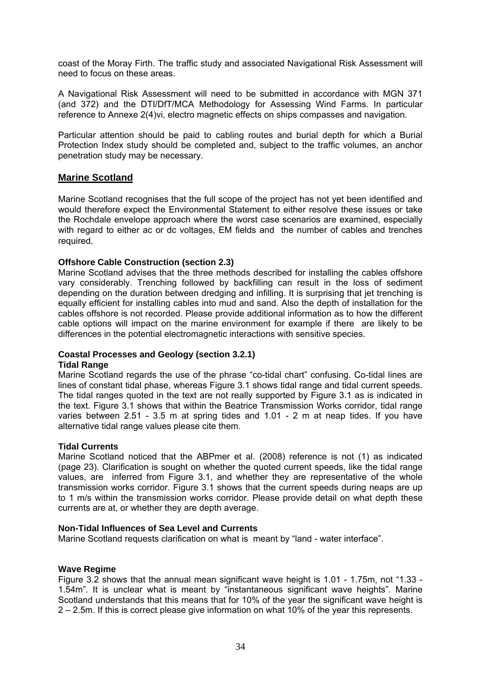coast of the Moray Firth. The traffic study and associated Navigational Risk Assessment will need to focus on these areas.

A Navigational Risk Assessment will need to be submitted in accordance with MGN 371 (and 372) and the DTI/DfT/MCA Methodology for Assessing Wind Farms. In particular reference to Annexe 2(4)vi, electro magnetic effects on ships compasses and navigation.

Particular attention should be paid to cabling routes and burial depth for which a Burial Protection Index study should be completed and, subject to the traffic volumes, an anchor penetration study may be necessary.

# **Marine Scotland**

Marine Scotland recognises that the full scope of the project has not yet been identified and would therefore expect the Environmental Statement to either resolve these issues or take the Rochdale envelope approach where the worst case scenarios are examined, especially with regard to either ac or dc voltages, EM fields and the number of cables and trenches required.

#### **Offshore Cable Construction (section 2.3)**

Marine Scotland advises that the three methods described for installing the cables offshore vary considerably. Trenching followed by backfilling can result in the loss of sediment depending on the duration between dredging and infilling. It is surprising that jet trenching is equally efficient for installing cables into mud and sand. Also the depth of installation for the cables offshore is not recorded. Please provide additional information as to how the different cable options will impact on the marine environment for example if there are likely to be differences in the potential electromagnetic interactions with sensitive species.

## **Coastal Processes and Geology (section 3.2.1)**

#### **Tidal Range**

Marine Scotland regards the use of the phrase "co-tidal chart" confusing. Co-tidal lines are lines of constant tidal phase, whereas Figure 3.1 shows tidal range and tidal current speeds. The tidal ranges quoted in the text are not really supported by Figure 3.1 as is indicated in the text. Figure 3.1 shows that within the Beatrice Transmission Works corridor, tidal range varies between 2.51 - 3.5 m at spring tides and 1.01 - 2 m at neap tides. If you have alternative tidal range values please cite them.

#### **Tidal Currents**

Marine Scotland noticed that the ABPmer et al. (2008) reference is not (1) as indicated (page 23). Clarification is sought on whether the quoted current speeds, like the tidal range values, are inferred from Figure 3.1, and whether they are representative of the whole transmission works corridor. Figure 3.1 shows that the current speeds during neaps are up to 1 m/s within the transmission works corridor. Please provide detail on what depth these currents are at, or whether they are depth average.

#### **Non-Tidal Influences of Sea Level and Currents**

Marine Scotland requests clarification on what is meant by "land - water interface".

#### **Wave Regime**

Figure 3.2 shows that the annual mean significant wave height is 1.01 - 1.75m, not "1.33 - 1.54m". It is unclear what is meant by "instantaneous significant wave heights". Marine Scotland understands that this means that for 10% of the year the significant wave height is 2 – 2.5m. If this is correct please give information on what 10% of the year this represents.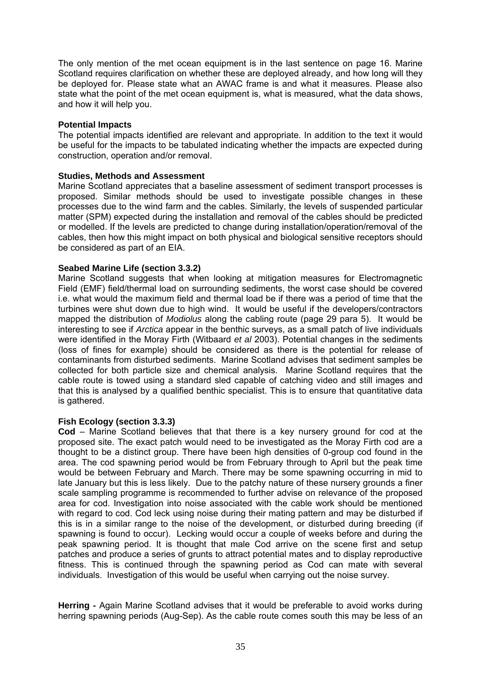The only mention of the met ocean equipment is in the last sentence on page 16. Marine Scotland requires clarification on whether these are deployed already, and how long will they be deployed for. Please state what an AWAC frame is and what it measures. Please also state what the point of the met ocean equipment is, what is measured, what the data shows, and how it will help you.

#### **Potential Impacts**

The potential impacts identified are relevant and appropriate. In addition to the text it would be useful for the impacts to be tabulated indicating whether the impacts are expected during construction, operation and/or removal.

## **Studies, Methods and Assessment**

Marine Scotland appreciates that a baseline assessment of sediment transport processes is proposed. Similar methods should be used to investigate possible changes in these processes due to the wind farm and the cables. Similarly, the levels of suspended particular matter (SPM) expected during the installation and removal of the cables should be predicted or modelled. If the levels are predicted to change during installation/operation/removal of the cables, then how this might impact on both physical and biological sensitive receptors should be considered as part of an EIA.

## **Seabed Marine Life (section 3.3.2)**

Marine Scotland suggests that when looking at mitigation measures for Electromagnetic Field (EMF) field/thermal load on surrounding sediments, the worst case should be covered i.e. what would the maximum field and thermal load be if there was a period of time that the turbines were shut down due to high wind. It would be useful if the developers/contractors mapped the distribution of *Modiolus* along the cabling route (page 29 para 5). It would be interesting to see if *Arctica* appear in the benthic surveys, as a small patch of live individuals were identified in the Moray Firth (Witbaard *et al* 2003). Potential changes in the sediments (loss of fines for example) should be considered as there is the potential for release of contaminants from disturbed sediments. Marine Scotland advises that sediment samples be collected for both particle size and chemical analysis. Marine Scotland requires that the cable route is towed using a standard sled capable of catching video and still images and that this is analysed by a qualified benthic specialist. This is to ensure that quantitative data is gathered.

#### **Fish Ecology (section 3.3.3)**

**Cod** – Marine Scotland believes that that there is a key nursery ground for cod at the proposed site. The exact patch would need to be investigated as the Moray Firth cod are a thought to be a distinct group. There have been high densities of 0-group cod found in the area. The cod spawning period would be from February through to April but the peak time would be between February and March. There may be some spawning occurring in mid to late January but this is less likely. Due to the patchy nature of these nursery grounds a finer scale sampling programme is recommended to further advise on relevance of the proposed area for cod. Investigation into noise associated with the cable work should be mentioned with regard to cod. Cod leck using noise during their mating pattern and may be disturbed if this is in a similar range to the noise of the development, or disturbed during breeding (if spawning is found to occur). Lecking would occur a couple of weeks before and during the peak spawning period. It is thought that male Cod arrive on the scene first and setup patches and produce a series of grunts to attract potential mates and to display reproductive fitness. This is continued through the spawning period as Cod can mate with several individuals. Investigation of this would be useful when carrying out the noise survey.

**Herring -** Again Marine Scotland advises that it would be preferable to avoid works during herring spawning periods (Aug-Sep). As the cable route comes south this may be less of an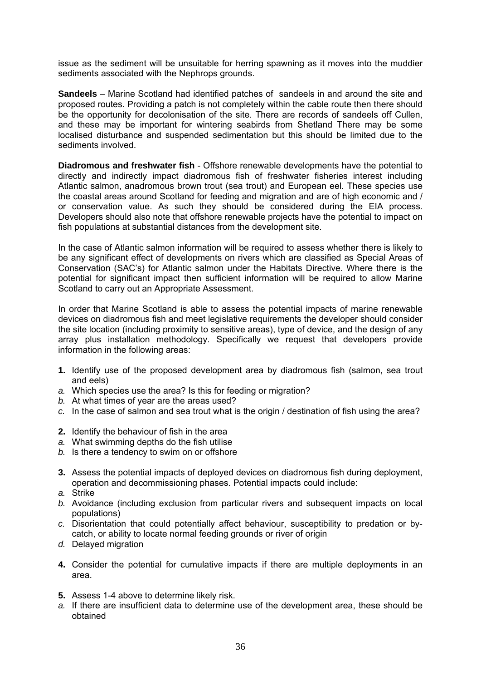issue as the sediment will be unsuitable for herring spawning as it moves into the muddier sediments associated with the Nephrops grounds.

**Sandeels** – Marine Scotland had identified patches of sandeels in and around the site and proposed routes. Providing a patch is not completely within the cable route then there should be the opportunity for decolonisation of the site. There are records of sandeels off Cullen, and these may be important for wintering seabirds from Shetland There may be some localised disturbance and suspended sedimentation but this should be limited due to the sediments involved.

**Diadromous and freshwater fish** - Offshore renewable developments have the potential to directly and indirectly impact diadromous fish of freshwater fisheries interest including Atlantic salmon, anadromous brown trout (sea trout) and European eel. These species use the coastal areas around Scotland for feeding and migration and are of high economic and / or conservation value. As such they should be considered during the EIA process. Developers should also note that offshore renewable projects have the potential to impact on fish populations at substantial distances from the development site.

In the case of Atlantic salmon information will be required to assess whether there is likely to be any significant effect of developments on rivers which are classified as Special Areas of Conservation (SAC's) for Atlantic salmon under the Habitats Directive. Where there is the potential for significant impact then sufficient information will be required to allow Marine Scotland to carry out an Appropriate Assessment.

In order that Marine Scotland is able to assess the potential impacts of marine renewable devices on diadromous fish and meet legislative requirements the developer should consider the site location (including proximity to sensitive areas), type of device, and the design of any array plus installation methodology. Specifically we request that developers provide information in the following areas:

- **1.** Identify use of the proposed development area by diadromous fish (salmon, sea trout and eels)
- *a.* Which species use the area? Is this for feeding or migration?
- *b.* At what times of year are the areas used?
- *c.* In the case of salmon and sea trout what is the origin / destination of fish using the area?
- **2.** Identify the behaviour of fish in the area
- *a.* What swimming depths do the fish utilise
- *b.* Is there a tendency to swim on or offshore
- **3.** Assess the potential impacts of deployed devices on diadromous fish during deployment, operation and decommissioning phases. Potential impacts could include:
- *a.* Strike
- *b.* Avoidance (including exclusion from particular rivers and subsequent impacts on local populations)
- *c.* Disorientation that could potentially affect behaviour, susceptibility to predation or bycatch, or ability to locate normal feeding grounds or river of origin
- *d.* Delayed migration
- **4.** Consider the potential for cumulative impacts if there are multiple deployments in an area.
- **5.** Assess 1-4 above to determine likely risk.
- *a.* If there are insufficient data to determine use of the development area, these should be obtained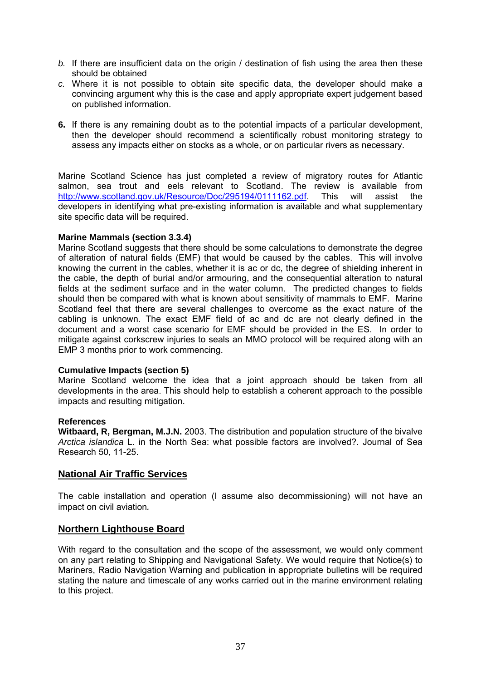- *b.* If there are insufficient data on the origin / destination of fish using the area then these should be obtained
- *c.* Where it is not possible to obtain site specific data, the developer should make a convincing argument why this is the case and apply appropriate expert judgement based on published information.
- **6.** If there is any remaining doubt as to the potential impacts of a particular development, then the developer should recommend a scientifically robust monitoring strategy to assess any impacts either on stocks as a whole, or on particular rivers as necessary.

Marine Scotland Science has just completed a review of migratory routes for Atlantic salmon, sea trout and eels relevant to Scotland. The review is available from <http://www.scotland.gov.uk/Resource/Doc/295194/0111162.pdf>. This will assist the developers in identifying what pre-existing information is available and what supplementary site specific data will be required.

## **Marine Mammals (section 3.3.4)**

Marine Scotland suggests that there should be some calculations to demonstrate the degree of alteration of natural fields (EMF) that would be caused by the cables. This will involve knowing the current in the cables, whether it is ac or dc, the degree of shielding inherent in the cable, the depth of burial and/or armouring, and the consequential alteration to natural fields at the sediment surface and in the water column. The predicted changes to fields should then be compared with what is known about sensitivity of mammals to EMF. Marine Scotland feel that there are several challenges to overcome as the exact nature of the cabling is unknown. The exact EMF field of ac and dc are not clearly defined in the document and a worst case scenario for EMF should be provided in the ES. In order to mitigate against corkscrew injuries to seals an MMO protocol will be required along with an EMP 3 months prior to work commencing.

#### **Cumulative Impacts (section 5)**

Marine Scotland welcome the idea that a joint approach should be taken from all developments in the area. This should help to establish a coherent approach to the possible impacts and resulting mitigation.

#### **References**

**Witbaard, R, Bergman, M.J.N.** 2003. The distribution and population structure of the bivalve *Arctica islandica* L. in the North Sea: what possible factors are involved?. Journal of Sea Research 50, 11-25.

## **National Air Traffic Services**

The cable installation and operation (I assume also decommissioning) will not have an impact on civil aviation*.* 

## **Northern Lighthouse Board**

With regard to the consultation and the scope of the assessment, we would only comment on any part relating to Shipping and Navigational Safety. We would require that Notice(s) to Mariners, Radio Navigation Warning and publication in appropriate bulletins will be required stating the nature and timescale of any works carried out in the marine environment relating to this project.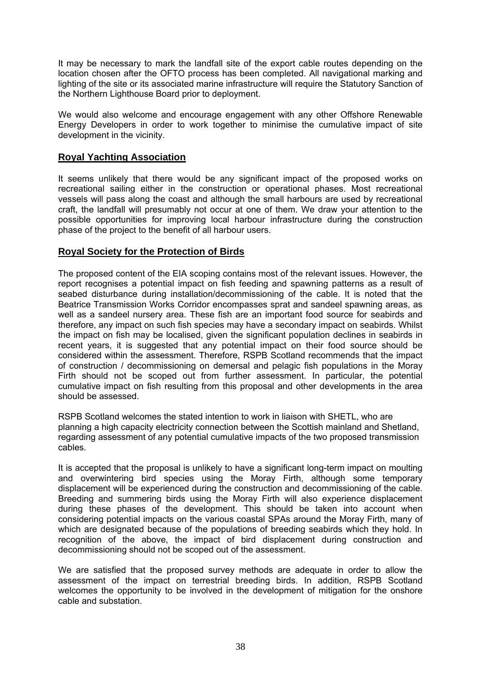It may be necessary to mark the landfall site of the export cable routes depending on the location chosen after the OFTO process has been completed. All navigational marking and lighting of the site or its associated marine infrastructure will require the Statutory Sanction of the Northern Lighthouse Board prior to deployment.

We would also welcome and encourage engagement with any other Offshore Renewable Energy Developers in order to work together to minimise the cumulative impact of site development in the vicinity.

# **Royal Yachting Association**

It seems unlikely that there would be any significant impact of the proposed works on recreational sailing either in the construction or operational phases. Most recreational vessels will pass along the coast and although the small harbours are used by recreational craft, the landfall will presumably not occur at one of them. We draw your attention to the possible opportunities for improving local harbour infrastructure during the construction phase of the project to the benefit of all harbour users.

# **Royal Society for the Protection of Birds**

The proposed content of the EIA scoping contains most of the relevant issues. However, the report recognises a potential impact on fish feeding and spawning patterns as a result of seabed disturbance during installation/decommissioning of the cable. It is noted that the Beatrice Transmission Works Corridor encompasses sprat and sandeel spawning areas, as well as a sandeel nursery area. These fish are an important food source for seabirds and therefore, any impact on such fish species may have a secondary impact on seabirds. Whilst the impact on fish may be localised, given the significant population declines in seabirds in recent years, it is suggested that any potential impact on their food source should be considered within the assessment. Therefore, RSPB Scotland recommends that the impact of construction / decommissioning on demersal and pelagic fish populations in the Moray Firth should not be scoped out from further assessment. In particular, the potential cumulative impact on fish resulting from this proposal and other developments in the area should be assessed.

RSPB Scotland welcomes the stated intention to work in liaison with SHETL, who are planning a high capacity electricity connection between the Scottish mainland and Shetland, regarding assessment of any potential cumulative impacts of the two proposed transmission cables.

It is accepted that the proposal is unlikely to have a significant long-term impact on moulting and overwintering bird species using the Moray Firth, although some temporary displacement will be experienced during the construction and decommissioning of the cable. Breeding and summering birds using the Moray Firth will also experience displacement during these phases of the development. This should be taken into account when considering potential impacts on the various coastal SPAs around the Moray Firth, many of which are designated because of the populations of breeding seabirds which they hold. In recognition of the above, the impact of bird displacement during construction and decommissioning should not be scoped out of the assessment.

We are satisfied that the proposed survey methods are adequate in order to allow the assessment of the impact on terrestrial breeding birds. In addition, RSPB Scotland welcomes the opportunity to be involved in the development of mitigation for the onshore cable and substation.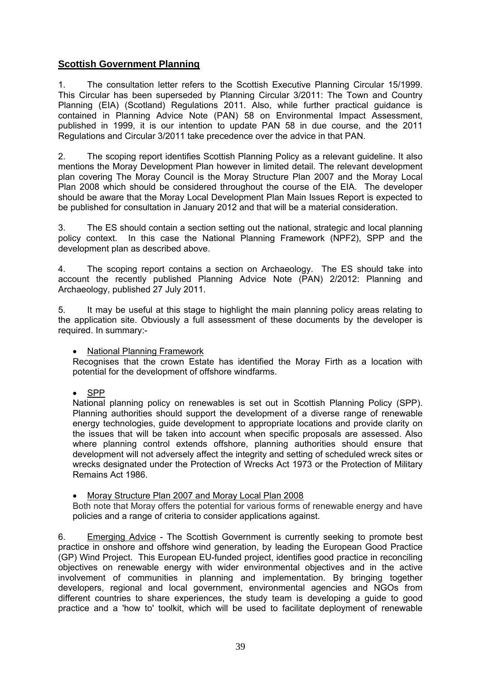# **Scottish Government Planning**

1. The consultation letter refers to the Scottish Executive Planning Circular 15/1999. This Circular has been superseded by Planning Circular 3/2011: The Town and Country Planning (EIA) (Scotland) Regulations 2011. Also, while further practical guidance is contained in Planning Advice Note (PAN) 58 on Environmental Impact Assessment, published in 1999, it is our intention to update PAN 58 in due course, and the 2011 Regulations and Circular 3/2011 take precedence over the advice in that PAN.

2. The scoping report identifies Scottish Planning Policy as a relevant guideline. It also mentions the Moray Development Plan however in limited detail. The relevant development plan covering The Moray Council is the Moray Structure Plan 2007 and the Moray Local Plan 2008 which should be considered throughout the course of the EIA. The developer should be aware that the Moray Local Development Plan Main Issues Report is expected to be published for consultation in January 2012 and that will be a material consideration.

3. The ES should contain a section setting out the national, strategic and local planning policy context. In this case the National Planning Framework (NPF2), SPP and the development plan as described above.

4. The scoping report contains a section on Archaeology. The ES should take into account the recently published Planning Advice Note (PAN) 2/2012: Planning and Archaeology, published 27 July 2011.

5. It may be useful at this stage to highlight the main planning policy areas relating to the application site. Obviously a full assessment of these documents by the developer is required. In summary:-

• National Planning Framework

Recognises that the crown Estate has identified the Moray Firth as a location with potential for the development of offshore windfarms.

• SPP

National planning policy on renewables is set out in Scottish Planning Policy (SPP). Planning authorities should support the development of a diverse range of renewable energy technologies, guide development to appropriate locations and provide clarity on the issues that will be taken into account when specific proposals are assessed. Also where planning control extends offshore, planning authorities should ensure that development will not adversely affect the integrity and setting of scheduled wreck sites or wrecks designated under the Protection of Wrecks Act 1973 or the Protection of Military Remains Act 1986.

• Moray Structure Plan 2007 and Moray Local Plan 2008

Both note that Moray offers the potential for various forms of renewable energy and have policies and a range of criteria to consider applications against.

6. Emerging Advice - The Scottish Government is currently seeking to promote best practice in onshore and offshore wind generation, by leading the European Good Practice (GP) Wind Project. This European EU-funded project, identifies good practice in reconciling objectives on renewable energy with wider environmental objectives and in the active involvement of communities in planning and implementation. By bringing together developers, regional and local government, environmental agencies and NGOs from different countries to share experiences, the study team is developing a guide to good practice and a 'how to' toolkit, which will be used to facilitate deployment of renewable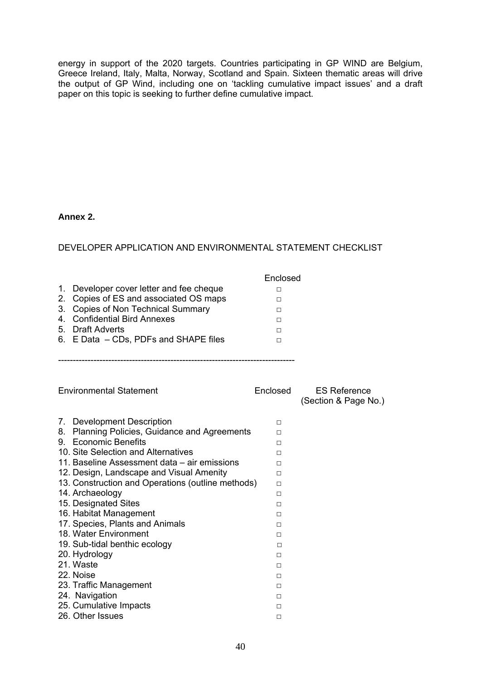energy in support of the 2020 targets. Countries participating in GP WIND are Belgium, Greece Ireland, Italy, Malta, Norway, Scotland and Spain. Sixteen thematic areas will drive the output of GP Wind, including one on 'tackling cumulative impact issues' and a draft paper on this topic is seeking to further define cumulative impact.

#### **Annex 2.**

# DEVELOPER APPLICATION AND ENVIRONMENTAL STATEMENT CHECKLIST

|                                          | Enclosed |
|------------------------------------------|----------|
| 1. Developer cover letter and fee cheque |          |
| 2. Copies of ES and associated OS maps   |          |
| 3. Copies of Non Technical Summary       |          |
| 4. Confidential Bird Annexes             | п        |
| 5. Draft Adverts                         |          |
| 6. E Data - CDs, PDFs and SHAPE files    |          |
|                                          |          |

--------------------------------------------------------------------------------

| <b>Environmental Statement</b>                    | Enclosed | <b>ES Reference</b><br>(Section & Page No.) |
|---------------------------------------------------|----------|---------------------------------------------|
| 7. Development Description                        | П        |                                             |
| Planning Policies, Guidance and Agreements<br>8.  | П        |                                             |
| 9. Economic Benefits                              | п        |                                             |
| 10. Site Selection and Alternatives               | п        |                                             |
| 11. Baseline Assessment data – air emissions      | п        |                                             |
| 12. Design, Landscape and Visual Amenity          | П        |                                             |
| 13. Construction and Operations (outline methods) | $\Box$   |                                             |
| 14. Archaeology                                   | П        |                                             |
| 15. Designated Sites                              | п        |                                             |
| 16. Habitat Management                            | П        |                                             |
| 17. Species, Plants and Animals                   | П        |                                             |
| 18. Water Environment                             | П        |                                             |
| 19. Sub-tidal benthic ecology                     | п        |                                             |
| 20. Hydrology                                     | П        |                                             |
| 21. Waste                                         | П        |                                             |
| 22. Noise                                         | П        |                                             |
| 23. Traffic Management                            | П        |                                             |
| 24. Navigation                                    | п        |                                             |
| 25. Cumulative Impacts                            | П        |                                             |
| 26. Other Issues                                  | П        |                                             |